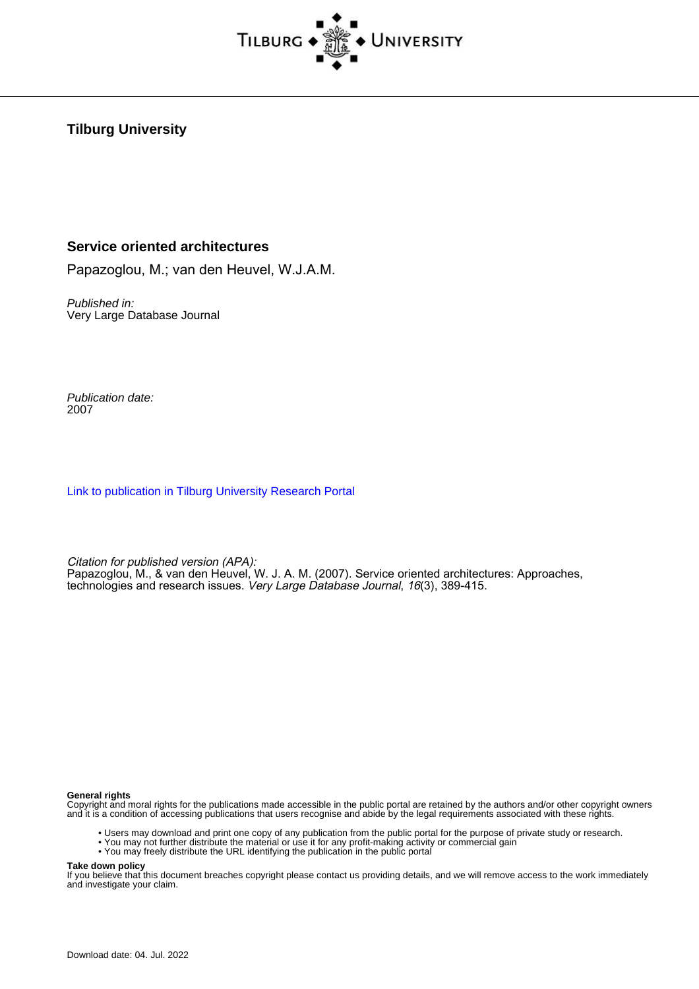

# **Tilburg University**

# **Service oriented architectures**

Papazoglou, M.; van den Heuvel, W.J.A.M.

Published in: Very Large Database Journal

Publication date: 2007

[Link to publication in Tilburg University Research Portal](https://research.tilburguniversity.edu/en/publications/c0ca7265-f37f-42ed-a261-1f31f9dab2ab)

Citation for published version (APA): Papazoglou, M., & van den Heuvel, W. J. A. M. (2007). Service oriented architectures: Approaches, technologies and research issues. *Very Large Database Journal*, 16(3), 389-415.

#### **General rights**

Copyright and moral rights for the publications made accessible in the public portal are retained by the authors and/or other copyright owners and it is a condition of accessing publications that users recognise and abide by the legal requirements associated with these rights.

- Users may download and print one copy of any publication from the public portal for the purpose of private study or research.
- You may not further distribute the material or use it for any profit-making activity or commercial gain
- You may freely distribute the URL identifying the publication in the public portal

## **Take down policy**

If you believe that this document breaches copyright please contact us providing details, and we will remove access to the work immediately and investigate your claim.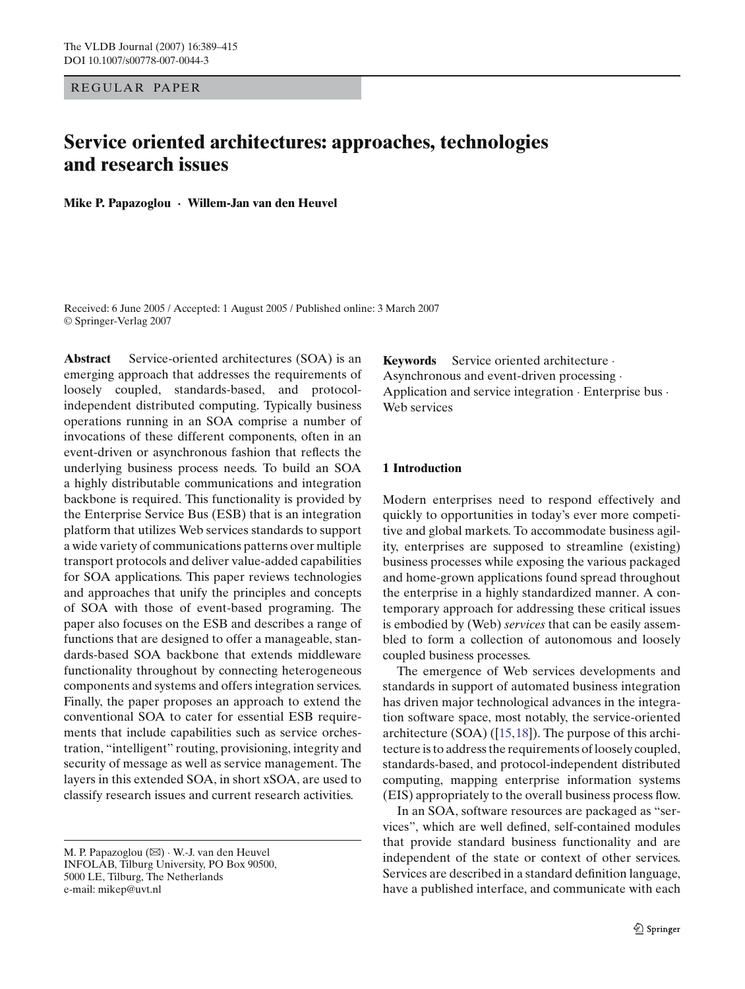REGULAR PAPER

# **Service oriented architectures: approaches, technologies and research issues**

**Mike P. Papazoglou · Willem-Jan van den Heuvel**

Received: 6 June 2005 / Accepted: 1 August 2005 / Published online: 3 March 2007 © Springer-Verlag 2007

**Abstract** Service-oriented architectures (SOA) is an emerging approach that addresses the requirements of loosely coupled, standards-based, and protocolindependent distributed computing. Typically business operations running in an SOA comprise a number of invocations of these different components, often in an event-driven or asynchronous fashion that reflects the underlying business process needs. To build an SOA a highly distributable communications and integration backbone is required. This functionality is provided by the Enterprise Service Bus (ESB) that is an integration platform that utilizes Web services standards to support a wide variety of communications patterns over multiple transport protocols and deliver value-added capabilities for SOA applications. This paper reviews technologies and approaches that unify the principles and concepts of SOA with those of event-based programing. The paper also focuses on the ESB and describes a range of functions that are designed to offer a manageable, standards-based SOA backbone that extends middleware functionality throughout by connecting heterogeneous components and systems and offers integration services. Finally, the paper proposes an approach to extend the conventional SOA to cater for essential ESB requirements that include capabilities such as service orchestration, "intelligent" routing, provisioning, integrity and security of message as well as service management. The layers in this extended SOA, in short xSOA, are used to classify research issues and current research activities.

**Keywords** Service oriented architecture · Asynchronous and event-driven processing · Application and service integration · Enterprise bus · Web services

# <span id="page-1-0"></span>**1 Introduction**

Modern enterprises need to respond effectively and quickly to opportunities in today's ever more competitive and global markets. To accommodate business agility, enterprises are supposed to streamline (existing) business processes while exposing the various packaged and home-grown applications found spread throughout the enterprise in a highly standardized manner. A contemporary approach for addressing these critical issues is embodied by (Web) *services* that can be easily assembled to form a collection of autonomous and loosely coupled business processes.

The emergence of Web services developments and standards in support of automated business integration has driven major technological advances in the integration software space, most notably, the service-oriented architecture (SOA) ([\[15](#page-26-0),[18\]](#page-26-1)). The purpose of this architecture is to address the requirements of loosely coupled, standards-based, and protocol-independent distributed computing, mapping enterprise information systems (EIS) appropriately to the overall business process flow.

In an SOA, software resources are packaged as "services", which are well defined, self-contained modules that provide standard business functionality and are independent of the state or context of other services. Services are described in a standard definition language, have a published interface, and communicate with each

M. P. Papazoglou (⊠) · W.-J. van den Heuvel INFOLAB, Tilburg University, PO Box 90500, 5000 LE, Tilburg, The Netherlands e-mail: mikep@uvt.nl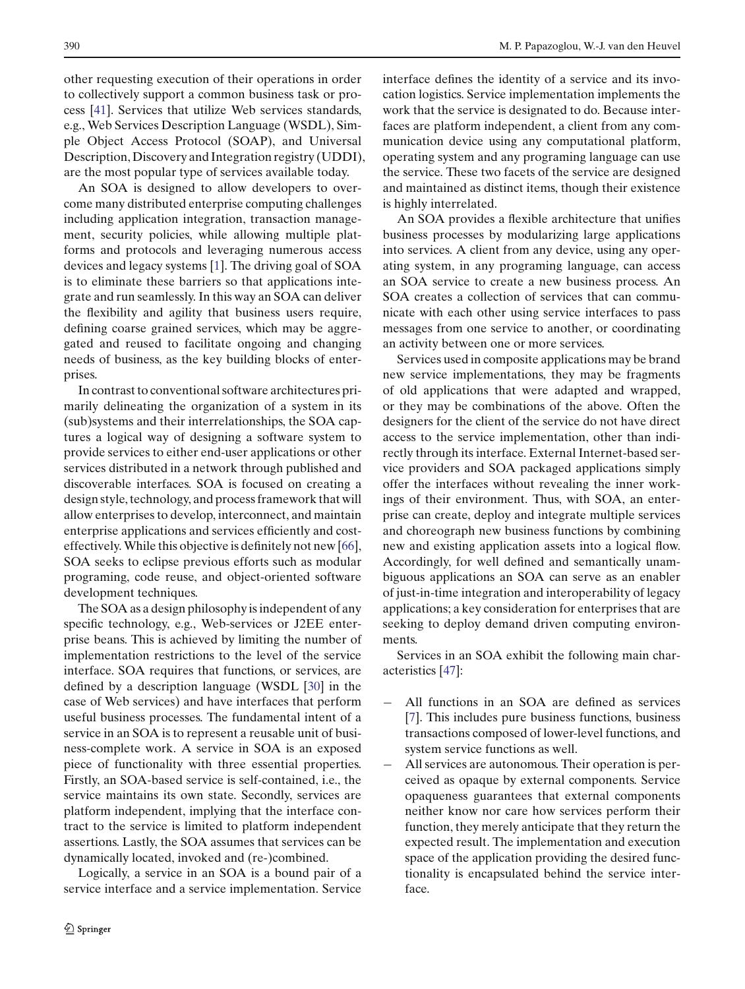other requesting execution of their operations in order to collectively support a common business task or process [\[41](#page-26-2)]. Services that utilize Web services standards, e.g., Web Services Description Language (WSDL), Simple Object Access Protocol (SOAP), and Universal Description, Discovery and Integration registry (UDDI), are the most popular type of services available today.

An SOA is designed to allow developers to overcome many distributed enterprise computing challenges including application integration, transaction management, security policies, while allowing multiple platforms and protocols and leveraging numerous access devices and legacy systems [\[1](#page-25-0)]. The driving goal of SOA is to eliminate these barriers so that applications integrate and run seamlessly. In this way an SOA can deliver the flexibility and agility that business users require, defining coarse grained services, which may be aggregated and reused to facilitate ongoing and changing needs of business, as the key building blocks of enterprises.

In contrast to conventional software architectures primarily delineating the organization of a system in its (sub)systems and their interrelationships, the SOA captures a logical way of designing a software system to provide services to either end-user applications or other services distributed in a network through published and discoverable interfaces. SOA is focused on creating a design style, technology, and process framework that will allow enterprises to develop, interconnect, and maintain enterprise applications and services efficiently and costeffectively.While this objective is definitely not new [\[66](#page-27-0)], SOA seeks to eclipse previous efforts such as modular programing, code reuse, and object-oriented software development techniques.

The SOA as a design philosophy is independent of any specific technology, e.g., Web-services or J2EE enterprise beans. This is achieved by limiting the number of implementation restrictions to the level of the service interface. SOA requires that functions, or services, are defined by a description language (WSDL [\[30](#page-26-3)] in the case of Web services) and have interfaces that perform useful business processes. The fundamental intent of a service in an SOA is to represent a reusable unit of business-complete work. A service in SOA is an exposed piece of functionality with three essential properties. Firstly, an SOA-based service is self-contained, i.e., the service maintains its own state. Secondly, services are platform independent, implying that the interface contract to the service is limited to platform independent assertions. Lastly, the SOA assumes that services can be dynamically located, invoked and (re-)combined.

Logically, a service in an SOA is a bound pair of a service interface and a service implementation. Service interface defines the identity of a service and its invocation logistics. Service implementation implements the work that the service is designated to do. Because interfaces are platform independent, a client from any communication device using any computational platform, operating system and any programing language can use the service. These two facets of the service are designed and maintained as distinct items, though their existence is highly interrelated.

An SOA provides a flexible architecture that unifies business processes by modularizing large applications into services. A client from any device, using any operating system, in any programing language, can access an SOA service to create a new business process. An SOA creates a collection of services that can communicate with each other using service interfaces to pass messages from one service to another, or coordinating an activity between one or more services.

Services used in composite applications may be brand new service implementations, they may be fragments of old applications that were adapted and wrapped, or they may be combinations of the above. Often the designers for the client of the service do not have direct access to the service implementation, other than indirectly through its interface. External Internet-based service providers and SOA packaged applications simply offer the interfaces without revealing the inner workings of their environment. Thus, with SOA, an enterprise can create, deploy and integrate multiple services and choreograph new business functions by combining new and existing application assets into a logical flow. Accordingly, for well defined and semantically unambiguous applications an SOA can serve as an enabler of just-in-time integration and interoperability of legacy applications; a key consideration for enterprises that are seeking to deploy demand driven computing environments.

Services in an SOA exhibit the following main characteristics [\[47\]](#page-26-4):

- All functions in an SOA are defined as services [\[7](#page-25-1)]. This includes pure business functions, business transactions composed of lower-level functions, and system service functions as well.
- − All services are autonomous. Their operation is perceived as opaque by external components. Service opaqueness guarantees that external components neither know nor care how services perform their function, they merely anticipate that they return the expected result. The implementation and execution space of the application providing the desired functionality is encapsulated behind the service interface.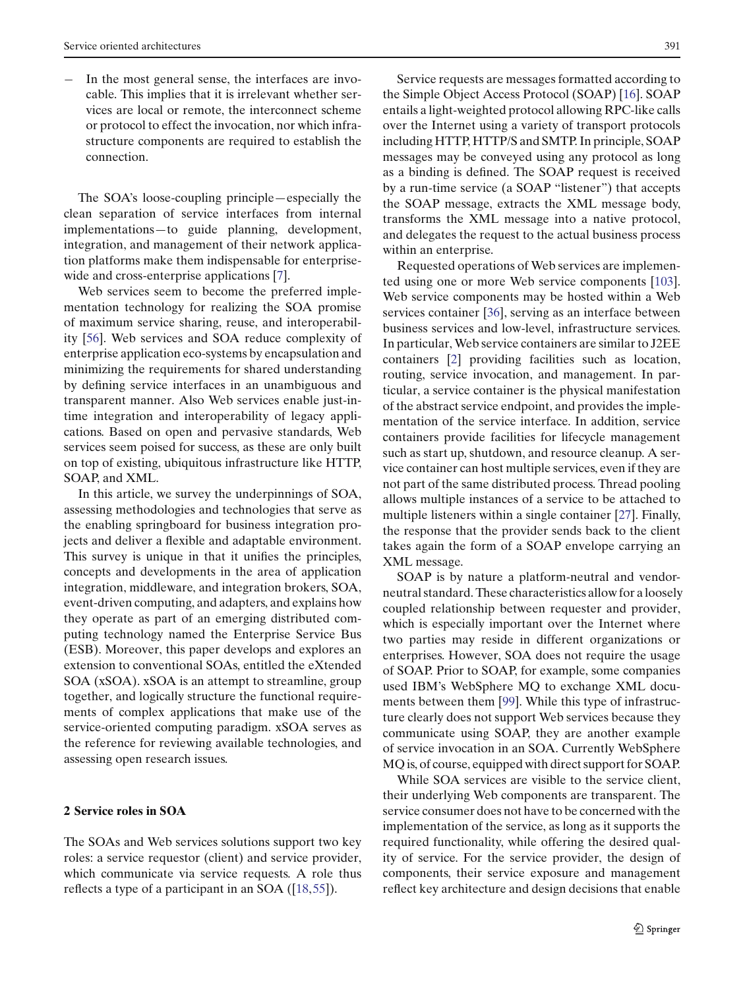In the most general sense, the interfaces are invocable. This implies that it is irrelevant whether services are local or remote, the interconnect scheme or protocol to effect the invocation, nor which infrastructure components are required to establish the connection.

The SOA's loose-coupling principle—especially the clean separation of service interfaces from internal implementations—to guide planning, development, integration, and management of their network application platforms make them indispensable for enterprise-wide and cross-enterprise applications [\[7\]](#page-25-1).

Web services seem to become the preferred implementation technology for realizing the SOA promise of maximum service sharing, reuse, and interoperability [\[56](#page-26-5)]. Web services and SOA reduce complexity of enterprise application eco-systems by encapsulation and minimizing the requirements for shared understanding by defining service interfaces in an unambiguous and transparent manner. Also Web services enable just-intime integration and interoperability of legacy applications. Based on open and pervasive standards, Web services seem poised for success, as these are only built on top of existing, ubiquitous infrastructure like HTTP, SOAP, and XML.

In this article, we survey the underpinnings of SOA, assessing methodologies and technologies that serve as the enabling springboard for business integration projects and deliver a flexible and adaptable environment. This survey is unique in that it unifies the principles, concepts and developments in the area of application integration, middleware, and integration brokers, SOA, event-driven computing, and adapters, and explains how they operate as part of an emerging distributed computing technology named the Enterprise Service Bus (ESB). Moreover, this paper develops and explores an extension to conventional SOAs, entitled the eXtended SOA (xSOA). xSOA is an attempt to streamline, group together, and logically structure the functional requirements of complex applications that make use of the service-oriented computing paradigm. xSOA serves as the reference for reviewing available technologies, and assessing open research issues.

# <span id="page-3-0"></span>**2 Service roles in SOA**

The SOAs and Web services solutions support two key roles: a service requestor (client) and service provider, which communicate via service requests. A role thus reflects a type of a participant in an SOA ([\[18](#page-26-1)[,55](#page-26-6)]).

Service requests are messages formatted according to the Simple Object Access Protocol (SOAP) [\[16](#page-26-7)]. SOAP entails a light-weighted protocol allowing RPC-like calls over the Internet using a variety of transport protocols including HTTP, HTTP/S and SMTP. In principle, SOAP messages may be conveyed using any protocol as long as a binding is defined. The SOAP request is received by a run-time service (a SOAP "listener") that accepts the SOAP message, extracts the XML message body, transforms the XML message into a native protocol, and delegates the request to the actual business process within an enterprise.

Requested operations of Web services are implemented using one or more Web service components [\[103](#page-27-1)]. Web service components may be hosted within a Web services container [\[36\]](#page-26-8), serving as an interface between business services and low-level, infrastructure services. In particular, Web service containers are similar to J2EE containers [\[2\]](#page-25-2) providing facilities such as location, routing, service invocation, and management. In particular, a service container is the physical manifestation of the abstract service endpoint, and provides the implementation of the service interface. In addition, service containers provide facilities for lifecycle management such as start up, shutdown, and resource cleanup. A service container can host multiple services, even if they are not part of the same distributed process. Thread pooling allows multiple instances of a service to be attached to multiple listeners within a single container [\[27\]](#page-26-9). Finally, the response that the provider sends back to the client takes again the form of a SOAP envelope carrying an XML message.

SOAP is by nature a platform-neutral and vendorneutral standard. These characteristics allow for a loosely coupled relationship between requester and provider, which is especially important over the Internet where two parties may reside in different organizations or enterprises. However, SOA does not require the usage of SOAP. Prior to SOAP, for example, some companies used IBM's WebSphere MQ to exchange XML documents between them [\[99\]](#page-27-2). While this type of infrastructure clearly does not support Web services because they communicate using SOAP, they are another example of service invocation in an SOA. Currently WebSphere MQ is, of course, equipped with direct support for SOAP.

While SOA services are visible to the service client, their underlying Web components are transparent. The service consumer does not have to be concerned with the implementation of the service, as long as it supports the required functionality, while offering the desired quality of service. For the service provider, the design of components, their service exposure and management reflect key architecture and design decisions that enable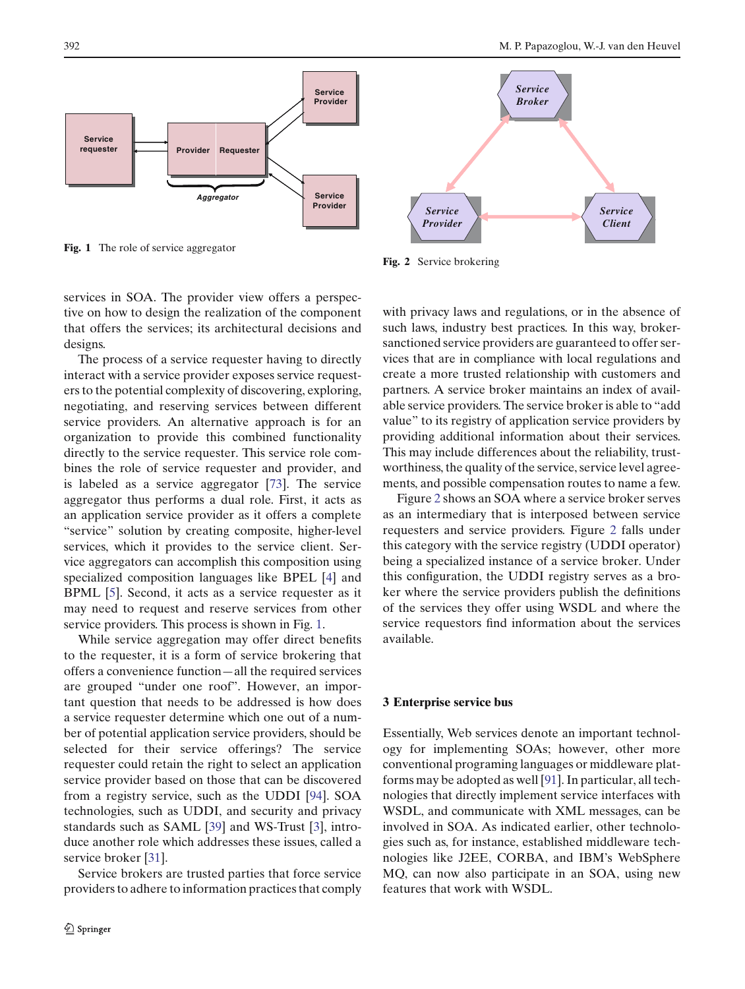*Service Service Service Broker Broker Broker*

> *Service Service Service Client Client Client*



<span id="page-4-0"></span>**Fig. 1** The role of service aggregator

services in SOA. The provider view offers a perspective on how to design the realization of the component that offers the services; its architectural decisions and designs.

The process of a service requester having to directly interact with a service provider exposes service requesters to the potential complexity of discovering, exploring, negotiating, and reserving services between different service providers. An alternative approach is for an organization to provide this combined functionality directly to the service requester. This service role combines the role of service requester and provider, and is labeled as a service aggregator [\[73\]](#page-27-3). The service aggregator thus performs a dual role. First, it acts as an application service provider as it offers a complete "service" solution by creating composite, higher-level services, which it provides to the service client. Service aggregators can accomplish this composition using specialized composition languages like BPEL [\[4\]](#page-25-3) and BPML [\[5](#page-25-4)]. Second, it acts as a service requester as it may need to request and reserve services from other service providers. This process is shown in Fig. [1.](#page-4-0)

While service aggregation may offer direct benefits to the requester, it is a form of service brokering that offers a convenience function—all the required services are grouped "under one roof". However, an important question that needs to be addressed is how does a service requester determine which one out of a number of potential application service providers, should be selected for their service offerings? The service requester could retain the right to select an application service provider based on those that can be discovered from a registry service, such as the UDDI [\[94\]](#page-27-4). SOA technologies, such as UDDI, and security and privacy standards such as SAML [\[39](#page-26-10)] and WS-Trust [\[3\]](#page-25-5), introduce another role which addresses these issues, called a service broker [\[31\]](#page-26-11).

Service brokers are trusted parties that force service providers to adhere to information practices that comply

<span id="page-4-1"></span>

*Service Service Service Provider Provider Provider*

with privacy laws and regulations, or in the absence of such laws, industry best practices. In this way, brokersanctioned service providers are guaranteed to offer services that are in compliance with local regulations and create a more trusted relationship with customers and partners. A service broker maintains an index of available service providers. The service broker is able to "add value" to its registry of application service providers by providing additional information about their services. This may include differences about the reliability, trustworthiness, the quality of the service, service level agreements, and possible compensation routes to name a few.

Figure [2](#page-4-1) shows an SOA where a service broker serves as an intermediary that is interposed between service requesters and service providers. Figure [2](#page-4-1) falls under this category with the service registry (UDDI operator) being a specialized instance of a service broker. Under this configuration, the UDDI registry serves as a broker where the service providers publish the definitions of the services they offer using WSDL and where the service requestors find information about the services available.

# **3 Enterprise service bus**

Essentially, Web services denote an important technology for implementing SOAs; however, other more conventional programing languages or middleware platforms may be adopted as well [\[91\]](#page-27-5). In particular, all technologies that directly implement service interfaces with WSDL, and communicate with XML messages, can be involved in SOA. As indicated earlier, other technologies such as, for instance, established middleware technologies like J2EE, CORBA, and IBM's WebSphere MQ, can now also participate in an SOA, using new features that work with WSDL.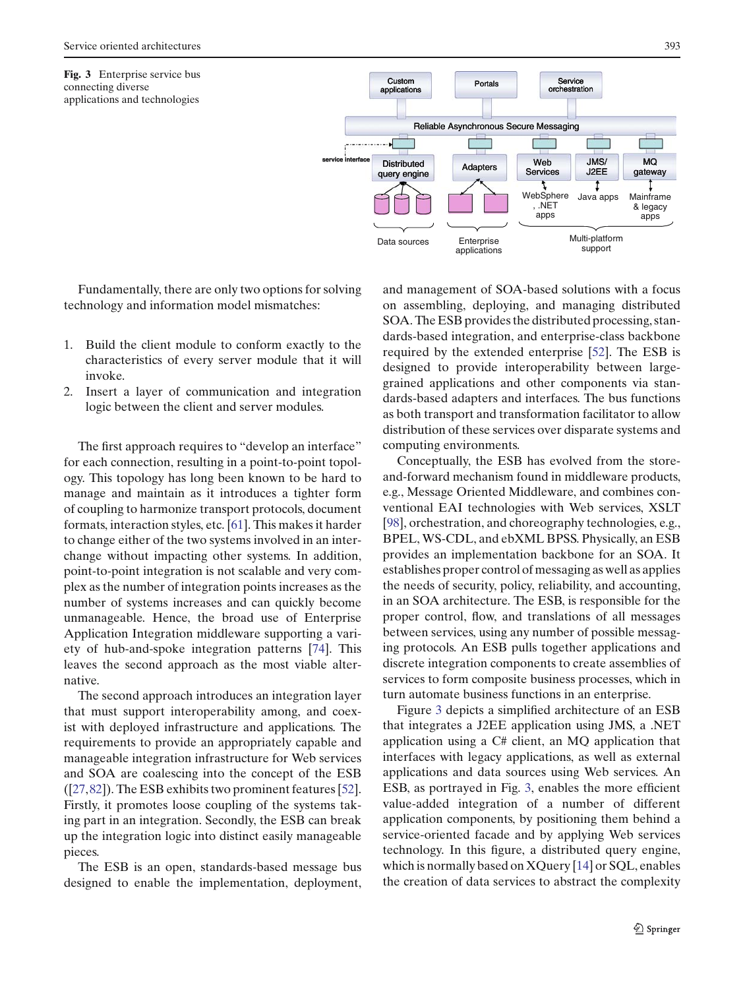<span id="page-5-0"></span>



Fundamentally, there are only two options for solving technology and information model mismatches:

- 1. Build the client module to conform exactly to the characteristics of every server module that it will invoke.
- 2. Insert a layer of communication and integration logic between the client and server modules.

The first approach requires to "develop an interface" for each connection, resulting in a point-to-point topology. This topology has long been known to be hard to manage and maintain as it introduces a tighter form of coupling to harmonize transport protocols, document formats, interaction styles, etc. [\[61\]](#page-27-6). This makes it harder to change either of the two systems involved in an interchange without impacting other systems. In addition, point-to-point integration is not scalable and very complex as the number of integration points increases as the number of systems increases and can quickly become unmanageable. Hence, the broad use of Enterprise Application Integration middleware supporting a variety of hub-and-spoke integration patterns [\[74\]](#page-27-7). This leaves the second approach as the most viable alternative.

The second approach introduces an integration layer that must support interoperability among, and coexist with deployed infrastructure and applications. The requirements to provide an appropriately capable and manageable integration infrastructure for Web services and SOA are coalescing into the concept of the ESB ([\[27](#page-26-9),[82\]](#page-27-8)). The ESB exhibits two prominent features [\[52](#page-26-12)]. Firstly, it promotes loose coupling of the systems taking part in an integration. Secondly, the ESB can break up the integration logic into distinct easily manageable pieces.

The ESB is an open, standards-based message bus designed to enable the implementation, deployment,

and management of SOA-based solutions with a focus on assembling, deploying, and managing distributed SOA. The ESB provides the distributed processing, standards-based integration, and enterprise-class backbone required by the extended enterprise [\[52\]](#page-26-12). The ESB is designed to provide interoperability between largegrained applications and other components via standards-based adapters and interfaces. The bus functions as both transport and transformation facilitator to allow distribution of these services over disparate systems and computing environments.

Conceptually, the ESB has evolved from the storeand-forward mechanism found in middleware products, e.g., Message Oriented Middleware, and combines conventional EAI technologies with Web services, XSLT [\[98](#page-27-9)], orchestration, and choreography technologies, e.g., BPEL, WS-CDL, and ebXML BPSS. Physically, an ESB provides an implementation backbone for an SOA. It establishes proper control of messaging as well as applies the needs of security, policy, reliability, and accounting, in an SOA architecture. The ESB, is responsible for the proper control, flow, and translations of all messages between services, using any number of possible messaging protocols. An ESB pulls together applications and discrete integration components to create assemblies of services to form composite business processes, which in turn automate business functions in an enterprise.

Figure [3](#page-5-0) depicts a simplified architecture of an ESB that integrates a J2EE application using JMS, a .NET application using a C# client, an MQ application that interfaces with legacy applications, as well as external applications and data sources using Web services. An ESB, as portrayed in Fig. [3,](#page-5-0) enables the more efficient value-added integration of a number of different application components, by positioning them behind a service-oriented facade and by applying Web services technology. In this figure, a distributed query engine, which is normally based on XQuery [\[14](#page-25-6)] or SQL, enables the creation of data services to abstract the complexity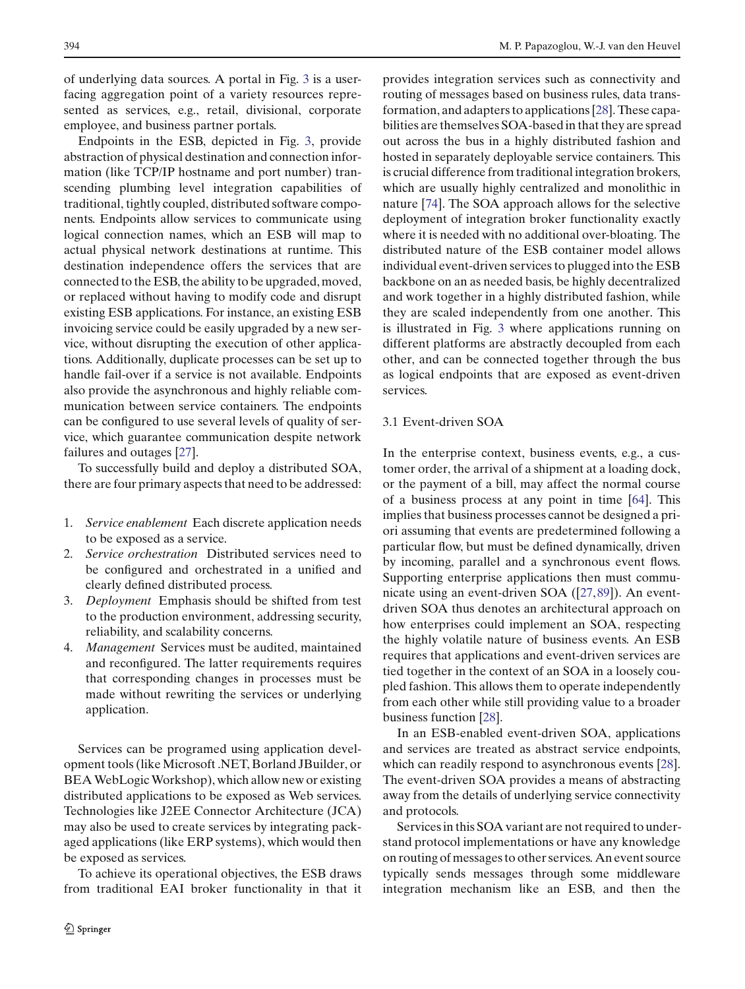of underlying data sources. A portal in Fig. [3](#page-5-0) is a userfacing aggregation point of a variety resources represented as services, e.g., retail, divisional, corporate employee, and business partner portals.

Endpoints in the ESB, depicted in Fig. [3,](#page-5-0) provide abstraction of physical destination and connection information (like TCP/IP hostname and port number) transcending plumbing level integration capabilities of traditional, tightly coupled, distributed software components. Endpoints allow services to communicate using logical connection names, which an ESB will map to actual physical network destinations at runtime. This destination independence offers the services that are connected to the ESB, the ability to be upgraded, moved, or replaced without having to modify code and disrupt existing ESB applications. For instance, an existing ESB invoicing service could be easily upgraded by a new service, without disrupting the execution of other applications. Additionally, duplicate processes can be set up to handle fail-over if a service is not available. Endpoints also provide the asynchronous and highly reliable communication between service containers. The endpoints can be configured to use several levels of quality of service, which guarantee communication despite network failures and outages [\[27](#page-26-9)].

To successfully build and deploy a distributed SOA, there are four primary aspects that need to be addressed:

- 1. *Service enablement* Each discrete application needs to be exposed as a service.
- 2. *Service orchestration* Distributed services need to be configured and orchestrated in a unified and clearly defined distributed process.
- 3. *Deployment* Emphasis should be shifted from test to the production environment, addressing security, reliability, and scalability concerns.
- 4. *Management* Services must be audited, maintained and reconfigured. The latter requirements requires that corresponding changes in processes must be made without rewriting the services or underlying application.

Services can be programed using application development tools (like Microsoft .NET, Borland JBuilder, or BEAWebLogicWorkshop), which allow new or existing distributed applications to be exposed as Web services. Technologies like J2EE Connector Architecture (JCA) may also be used to create services by integrating packaged applications (like ERP systems), which would then be exposed as services.

To achieve its operational objectives, the ESB draws from traditional EAI broker functionality in that it provides integration services such as connectivity and routing of messages based on business rules, data transformation, and adapters to applications [\[28\]](#page-26-13). These capabilities are themselves SOA-based in that they are spread out across the bus in a highly distributed fashion and hosted in separately deployable service containers. This is crucial difference from traditional integration brokers, which are usually highly centralized and monolithic in nature [\[74](#page-27-7)]. The SOA approach allows for the selective deployment of integration broker functionality exactly where it is needed with no additional over-bloating. The distributed nature of the ESB container model allows individual event-driven services to plugged into the ESB backbone on an as needed basis, be highly decentralized and work together in a highly distributed fashion, while they are scaled independently from one another. This is illustrated in Fig. [3](#page-5-0) where applications running on different platforms are abstractly decoupled from each other, and can be connected together through the bus as logical endpoints that are exposed as event-driven services.

# 3.1 Event-driven SOA

In the enterprise context, business events, e.g., a customer order, the arrival of a shipment at a loading dock, or the payment of a bill, may affect the normal course of a business process at any point in time [\[64\]](#page-27-10). This implies that business processes cannot be designed a priori assuming that events are predetermined following a particular flow, but must be defined dynamically, driven by incoming, parallel and a synchronous event flows. Supporting enterprise applications then must communicate using an event-driven SOA ([\[27](#page-26-9),[89\]](#page-27-11)). An eventdriven SOA thus denotes an architectural approach on how enterprises could implement an SOA, respecting the highly volatile nature of business events. An ESB requires that applications and event-driven services are tied together in the context of an SOA in a loosely coupled fashion. This allows them to operate independently from each other while still providing value to a broader business function [\[28](#page-26-13)].

In an ESB-enabled event-driven SOA, applications and services are treated as abstract service endpoints, which can readily respond to asynchronous events [\[28](#page-26-13)]. The event-driven SOA provides a means of abstracting away from the details of underlying service connectivity and protocols.

Services in this SOA variant are not required to understand protocol implementations or have any knowledge on routing of messages to other services. An event source typically sends messages through some middleware integration mechanism like an ESB, and then the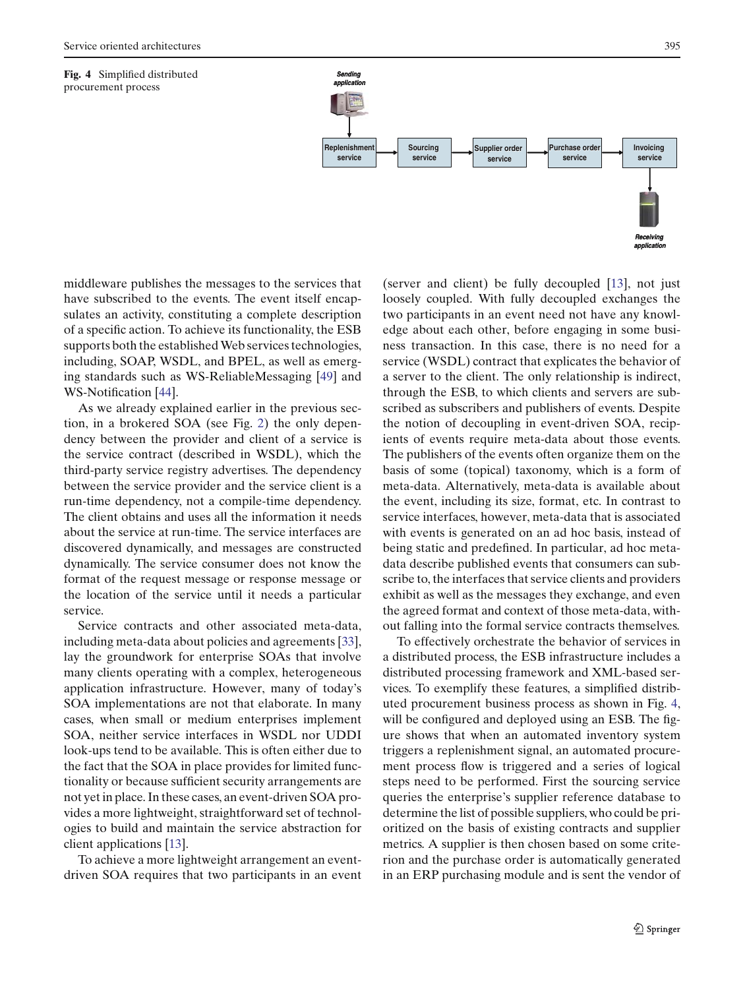<span id="page-7-0"></span>



middleware publishes the messages to the services that have subscribed to the events. The event itself encapsulates an activity, constituting a complete description of a specific action. To achieve its functionality, the ESB supports both the established Web services technologies, including, SOAP, WSDL, and BPEL, as well as emerging standards such as WS-ReliableMessaging [\[49](#page-26-14)] and WS-Notification [\[44](#page-26-15)].

As we already explained earlier in the previous section, in a brokered SOA (see Fig. [2\)](#page-4-1) the only dependency between the provider and client of a service is the service contract (described in WSDL), which the third-party service registry advertises. The dependency between the service provider and the service client is a run-time dependency, not a compile-time dependency. The client obtains and uses all the information it needs about the service at run-time. The service interfaces are discovered dynamically, and messages are constructed dynamically. The service consumer does not know the format of the request message or response message or the location of the service until it needs a particular service.

Service contracts and other associated meta-data, including meta-data about policies and agreements [\[33](#page-26-16)], lay the groundwork for enterprise SOAs that involve many clients operating with a complex, heterogeneous application infrastructure. However, many of today's SOA implementations are not that elaborate. In many cases, when small or medium enterprises implement SOA, neither service interfaces in WSDL nor UDDI look-ups tend to be available. This is often either due to the fact that the SOA in place provides for limited functionality or because sufficient security arrangements are not yet in place. In these cases, an event-driven SOA provides a more lightweight, straightforward set of technologies to build and maintain the service abstraction for client applications [\[13](#page-25-7)].

To achieve a more lightweight arrangement an eventdriven SOA requires that two participants in an event (server and client) be fully decoupled [\[13\]](#page-25-7), not just loosely coupled. With fully decoupled exchanges the two participants in an event need not have any knowledge about each other, before engaging in some business transaction. In this case, there is no need for a service (WSDL) contract that explicates the behavior of a server to the client. The only relationship is indirect, through the ESB, to which clients and servers are subscribed as subscribers and publishers of events. Despite the notion of decoupling in event-driven SOA, recipients of events require meta-data about those events. The publishers of the events often organize them on the basis of some (topical) taxonomy, which is a form of meta-data. Alternatively, meta-data is available about the event, including its size, format, etc. In contrast to service interfaces, however, meta-data that is associated with events is generated on an ad hoc basis, instead of being static and predefined. In particular, ad hoc metadata describe published events that consumers can subscribe to, the interfaces that service clients and providers exhibit as well as the messages they exchange, and even the agreed format and context of those meta-data, without falling into the formal service contracts themselves.

To effectively orchestrate the behavior of services in a distributed process, the ESB infrastructure includes a distributed processing framework and XML-based services. To exemplify these features, a simplified distributed procurement business process as shown in Fig. [4,](#page-7-0) will be configured and deployed using an ESB. The figure shows that when an automated inventory system triggers a replenishment signal, an automated procurement process flow is triggered and a series of logical steps need to be performed. First the sourcing service queries the enterprise's supplier reference database to determine the list of possible suppliers, who could be prioritized on the basis of existing contracts and supplier metrics. A supplier is then chosen based on some criterion and the purchase order is automatically generated in an ERP purchasing module and is sent the vendor of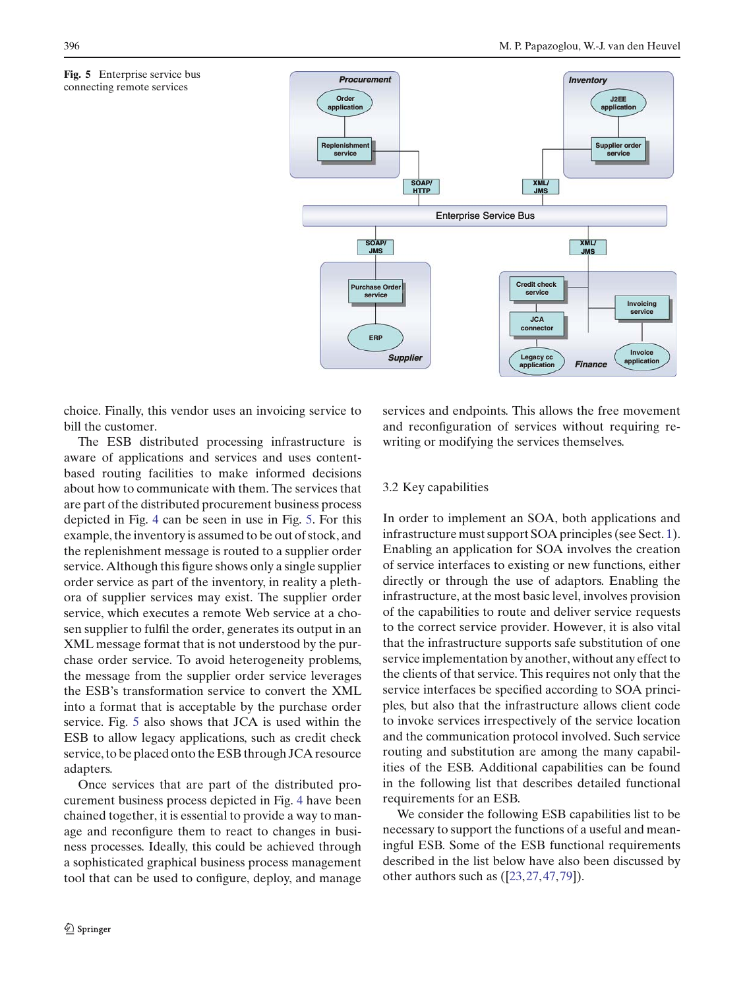<span id="page-8-0"></span>



choice. Finally, this vendor uses an invoicing service to bill the customer.

The ESB distributed processing infrastructure is aware of applications and services and uses contentbased routing facilities to make informed decisions about how to communicate with them. The services that are part of the distributed procurement business process depicted in Fig. [4](#page-7-0) can be seen in use in Fig. [5.](#page-8-0) For this example, the inventory is assumed to be out of stock, and the replenishment message is routed to a supplier order service. Although this figure shows only a single supplier order service as part of the inventory, in reality a plethora of supplier services may exist. The supplier order service, which executes a remote Web service at a chosen supplier to fulfil the order, generates its output in an XML message format that is not understood by the purchase order service. To avoid heterogeneity problems, the message from the supplier order service leverages the ESB's transformation service to convert the XML into a format that is acceptable by the purchase order service. Fig. [5](#page-8-0) also shows that JCA is used within the ESB to allow legacy applications, such as credit check service, to be placed onto the ESB through JCA resource adapters.

Once services that are part of the distributed procurement business process depicted in Fig. [4](#page-7-0) have been chained together, it is essential to provide a way to manage and reconfigure them to react to changes in business processes. Ideally, this could be achieved through a sophisticated graphical business process management tool that can be used to configure, deploy, and manage

services and endpoints. This allows the free movement and reconfiguration of services without requiring rewriting or modifying the services themselves.

# 3.2 Key capabilities

In order to implement an SOA, both applications and infrastructure must support SOA principles (see Sect. [1\)](#page-1-0). Enabling an application for SOA involves the creation of service interfaces to existing or new functions, either directly or through the use of adaptors. Enabling the infrastructure, at the most basic level, involves provision of the capabilities to route and deliver service requests to the correct service provider. However, it is also vital that the infrastructure supports safe substitution of one service implementation by another, without any effect to the clients of that service. This requires not only that the service interfaces be specified according to SOA principles, but also that the infrastructure allows client code to invoke services irrespectively of the service location and the communication protocol involved. Such service routing and substitution are among the many capabilities of the ESB. Additional capabilities can be found in the following list that describes detailed functional requirements for an ESB.

We consider the following ESB capabilities list to be necessary to support the functions of a useful and meaningful ESB. Some of the ESB functional requirements described in the list below have also been discussed by other authors such as ([\[23](#page-26-17),[27](#page-26-9)[,47](#page-26-4),[79\]](#page-27-12)).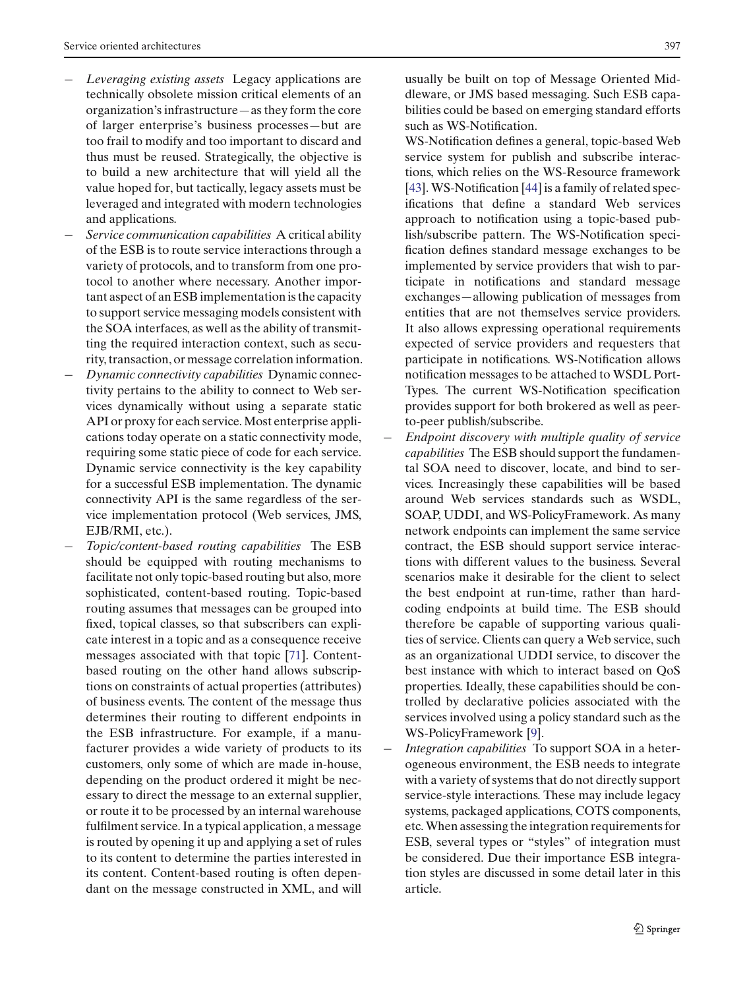- − *Leveraging existing assets* Legacy applications are technically obsolete mission critical elements of an organization's infrastructure—as they form the core of larger enterprise's business processes—but are too frail to modify and too important to discard and thus must be reused. Strategically, the objective is to build a new architecture that will yield all the value hoped for, but tactically, legacy assets must be leveraged and integrated with modern technologies and applications.
- − *Service communication capabilities* A critical ability of the ESB is to route service interactions through a variety of protocols, and to transform from one protocol to another where necessary. Another important aspect of an ESB implementation is the capacity to support service messaging models consistent with the SOA interfaces, as well as the ability of transmitting the required interaction context, such as security, transaction, or message correlation information.
- − *Dynamic connectivity capabilities* Dynamic connectivity pertains to the ability to connect to Web services dynamically without using a separate static API or proxy for each service.Most enterprise applications today operate on a static connectivity mode, requiring some static piece of code for each service. Dynamic service connectivity is the key capability for a successful ESB implementation. The dynamic connectivity API is the same regardless of the service implementation protocol (Web services, JMS, EJB/RMI, etc.).
- − *Topic/content-based routing capabilities* The ESB should be equipped with routing mechanisms to facilitate not only topic-based routing but also, more sophisticated, content-based routing. Topic-based routing assumes that messages can be grouped into fixed, topical classes, so that subscribers can explicate interest in a topic and as a consequence receive messages associated with that topic [\[71](#page-27-13)]. Contentbased routing on the other hand allows subscriptions on constraints of actual properties (attributes) of business events. The content of the message thus determines their routing to different endpoints in the ESB infrastructure. For example, if a manufacturer provides a wide variety of products to its customers, only some of which are made in-house, depending on the product ordered it might be necessary to direct the message to an external supplier, or route it to be processed by an internal warehouse fulfilment service. In a typical application, a message is routed by opening it up and applying a set of rules to its content to determine the parties interested in its content. Content-based routing is often dependant on the message constructed in XML, and will

usually be built on top of Message Oriented Middleware, or JMS based messaging. Such ESB capabilities could be based on emerging standard efforts such as WS-Notification.

- WS-Notification defines a general, topic-based Web service system for publish and subscribe interactions, which relies on the WS-Resource framework [\[43](#page-26-18)]. WS-Notification [\[44](#page-26-15)] is a family of related specifications that define a standard Web services approach to notification using a topic-based publish/subscribe pattern. The WS-Notification specification defines standard message exchanges to be implemented by service providers that wish to participate in notifications and standard message exchanges—allowing publication of messages from entities that are not themselves service providers. It also allows expressing operational requirements expected of service providers and requesters that participate in notifications. WS-Notification allows notification messages to be attached to WSDL Port-Types. The current WS-Notification specification provides support for both brokered as well as peerto-peer publish/subscribe.
- − *Endpoint discovery with multiple quality of service capabilities* The ESB should support the fundamental SOA need to discover, locate, and bind to services. Increasingly these capabilities will be based around Web services standards such as WSDL, SOAP, UDDI, and WS-PolicyFramework. As many network endpoints can implement the same service contract, the ESB should support service interactions with different values to the business. Several scenarios make it desirable for the client to select the best endpoint at run-time, rather than hardcoding endpoints at build time. The ESB should therefore be capable of supporting various qualities of service. Clients can query a Web service, such as an organizational UDDI service, to discover the best instance with which to interact based on QoS properties. Ideally, these capabilities should be controlled by declarative policies associated with the services involved using a policy standard such as the WS-PolicyFramework [\[9](#page-25-8)].
- − *Integration capabilities* To support SOA in a heterogeneous environment, the ESB needs to integrate with a variety of systems that do not directly support service-style interactions. These may include legacy systems, packaged applications, COTS components, etc.When assessing the integration requirements for ESB, several types or "styles" of integration must be considered. Due their importance ESB integration styles are discussed in some detail later in this article.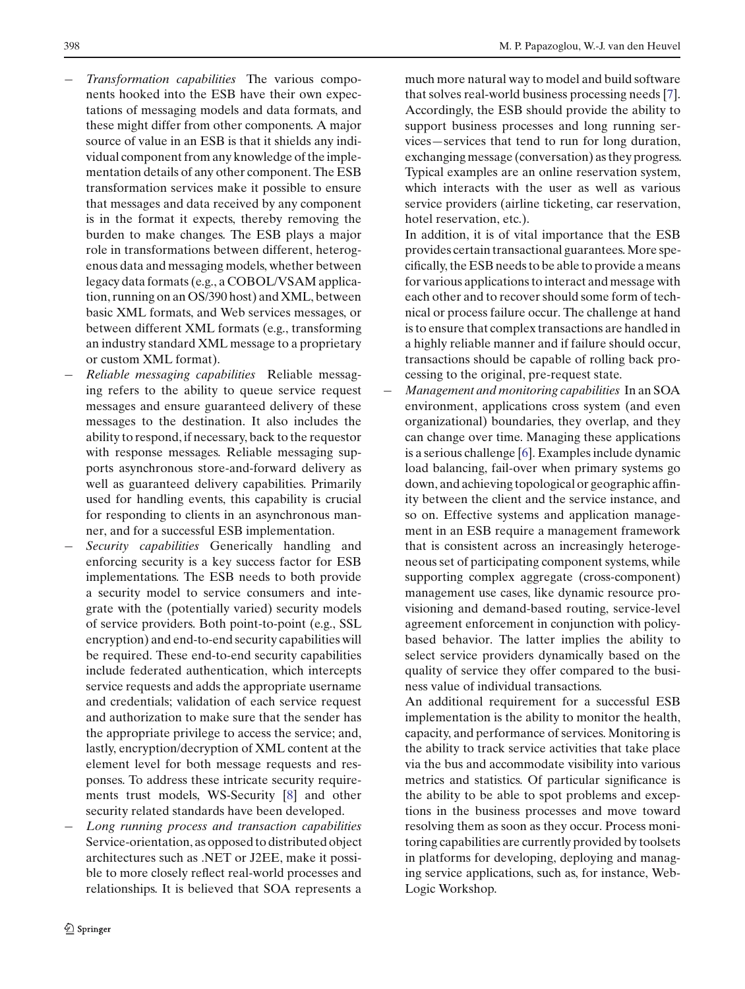- − *Transformation capabilities* The various components hooked into the ESB have their own expectations of messaging models and data formats, and these might differ from other components. A major source of value in an ESB is that it shields any individual component from any knowledge of the implementation details of any other component. The ESB transformation services make it possible to ensure that messages and data received by any component is in the format it expects, thereby removing the burden to make changes. The ESB plays a major role in transformations between different, heterogenous data and messaging models, whether between legacy data formats (e.g., a COBOL/VSAM application, running on an OS/390 host) and XML, between basic XML formats, and Web services messages, or between different XML formats (e.g., transforming an industry standard XML message to a proprietary or custom XML format).
- − *Reliable messaging capabilities* Reliable messaging refers to the ability to queue service request messages and ensure guaranteed delivery of these messages to the destination. It also includes the ability to respond, if necessary, back to the requestor with response messages. Reliable messaging supports asynchronous store-and-forward delivery as well as guaranteed delivery capabilities. Primarily used for handling events, this capability is crucial for responding to clients in an asynchronous manner, and for a successful ESB implementation.
- − *Security capabilities* Generically handling and enforcing security is a key success factor for ESB implementations. The ESB needs to both provide a security model to service consumers and integrate with the (potentially varied) security models of service providers. Both point-to-point (e.g., SSL encryption) and end-to-end security capabilities will be required. These end-to-end security capabilities include federated authentication, which intercepts service requests and adds the appropriate username and credentials; validation of each service request and authorization to make sure that the sender has the appropriate privilege to access the service; and, lastly, encryption/decryption of XML content at the element level for both message requests and responses. To address these intricate security requirements trust models, WS-Security [\[8](#page-25-9)] and other security related standards have been developed.
- − *Long running process and transaction capabilities* Service-orientation, as opposed to distributed object architectures such as .NET or J2EE, make it possible to more closely reflect real-world processes and relationships. It is believed that SOA represents a

much more natural way to model and build software that solves real-world business processing needs [\[7](#page-25-1)]. Accordingly, the ESB should provide the ability to support business processes and long running services—services that tend to run for long duration, exchanging message (conversation) as they progress. Typical examples are an online reservation system, which interacts with the user as well as various service providers (airline ticketing, car reservation, hotel reservation, etc.).

In addition, it is of vital importance that the ESB provides certain transactional guarantees.More specifically, the ESB needs to be able to provide a means for various applications to interact and message with each other and to recover should some form of technical or process failure occur. The challenge at hand is to ensure that complex transactions are handled in a highly reliable manner and if failure should occur, transactions should be capable of rolling back processing to the original, pre-request state.

− *Management and monitoring capabilities* In an SOA environment, applications cross system (and even organizational) boundaries, they overlap, and they can change over time. Managing these applications is a serious challenge [\[6](#page-25-10)]. Examples include dynamic load balancing, fail-over when primary systems go down, and achieving topological or geographic affinity between the client and the service instance, and so on. Effective systems and application management in an ESB require a management framework that is consistent across an increasingly heterogeneous set of participating component systems, while supporting complex aggregate (cross-component) management use cases, like dynamic resource provisioning and demand-based routing, service-level agreement enforcement in conjunction with policybased behavior. The latter implies the ability to select service providers dynamically based on the quality of service they offer compared to the business value of individual transactions.

An additional requirement for a successful ESB implementation is the ability to monitor the health, capacity, and performance of services. Monitoring is the ability to track service activities that take place via the bus and accommodate visibility into various metrics and statistics. Of particular significance is the ability to be able to spot problems and exceptions in the business processes and move toward resolving them as soon as they occur. Process monitoring capabilities are currently provided by toolsets in platforms for developing, deploying and managing service applications, such as, for instance, Web-Logic Workshop.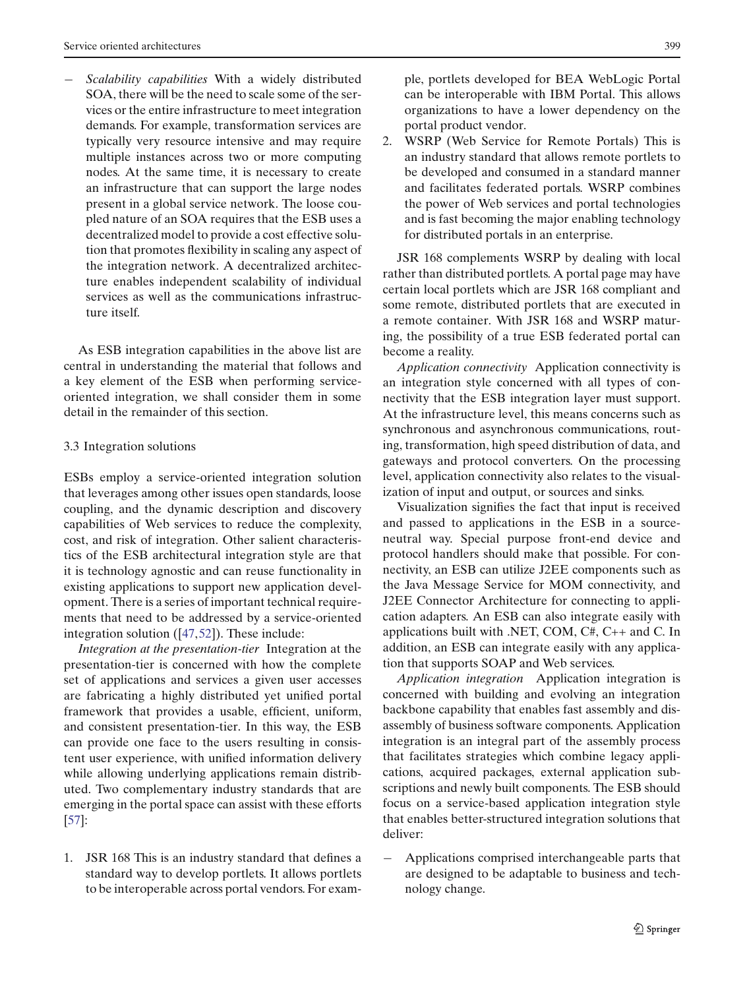− *Scalability capabilities* With a widely distributed SOA, there will be the need to scale some of the services or the entire infrastructure to meet integration demands. For example, transformation services are typically very resource intensive and may require multiple instances across two or more computing nodes. At the same time, it is necessary to create an infrastructure that can support the large nodes present in a global service network. The loose coupled nature of an SOA requires that the ESB uses a decentralized model to provide a cost effective solution that promotes flexibility in scaling any aspect of the integration network. A decentralized architecture enables independent scalability of individual services as well as the communications infrastructure itself.

As ESB integration capabilities in the above list are central in understanding the material that follows and a key element of the ESB when performing serviceoriented integration, we shall consider them in some detail in the remainder of this section.

# 3.3 Integration solutions

ESBs employ a service-oriented integration solution that leverages among other issues open standards, loose coupling, and the dynamic description and discovery capabilities of Web services to reduce the complexity, cost, and risk of integration. Other salient characteristics of the ESB architectural integration style are that it is technology agnostic and can reuse functionality in existing applications to support new application development. There is a series of important technical requirements that need to be addressed by a service-oriented integration solution ([\[47,](#page-26-4)[52](#page-26-12)]). These include:

*Integration at the presentation-tier* Integration at the presentation-tier is concerned with how the complete set of applications and services a given user accesses are fabricating a highly distributed yet unified portal framework that provides a usable, efficient, uniform, and consistent presentation-tier. In this way, the ESB can provide one face to the users resulting in consistent user experience, with unified information delivery while allowing underlying applications remain distributed. Two complementary industry standards that are emerging in the portal space can assist with these efforts [\[57](#page-26-19)]:

1. JSR 168 This is an industry standard that defines a standard way to develop portlets. It allows portlets to be interoperable across portal vendors. For example, portlets developed for BEA WebLogic Portal can be interoperable with IBM Portal. This allows organizations to have a lower dependency on the portal product vendor.

2. WSRP (Web Service for Remote Portals) This is an industry standard that allows remote portlets to be developed and consumed in a standard manner and facilitates federated portals. WSRP combines the power of Web services and portal technologies and is fast becoming the major enabling technology for distributed portals in an enterprise.

JSR 168 complements WSRP by dealing with local rather than distributed portlets. A portal page may have certain local portlets which are JSR 168 compliant and some remote, distributed portlets that are executed in a remote container. With JSR 168 and WSRP maturing, the possibility of a true ESB federated portal can become a reality.

*Application connectivity* Application connectivity is an integration style concerned with all types of connectivity that the ESB integration layer must support. At the infrastructure level, this means concerns such as synchronous and asynchronous communications, routing, transformation, high speed distribution of data, and gateways and protocol converters. On the processing level, application connectivity also relates to the visualization of input and output, or sources and sinks.

Visualization signifies the fact that input is received and passed to applications in the ESB in a sourceneutral way. Special purpose front-end device and protocol handlers should make that possible. For connectivity, an ESB can utilize J2EE components such as the Java Message Service for MOM connectivity, and J2EE Connector Architecture for connecting to application adapters. An ESB can also integrate easily with applications built with .NET, COM, C#, C++ and C. In addition, an ESB can integrate easily with any application that supports SOAP and Web services.

*Application integration* Application integration is concerned with building and evolving an integration backbone capability that enables fast assembly and disassembly of business software components. Application integration is an integral part of the assembly process that facilitates strategies which combine legacy applications, acquired packages, external application subscriptions and newly built components. The ESB should focus on a service-based application integration style that enables better-structured integration solutions that deliver:

− Applications comprised interchangeable parts that are designed to be adaptable to business and technology change.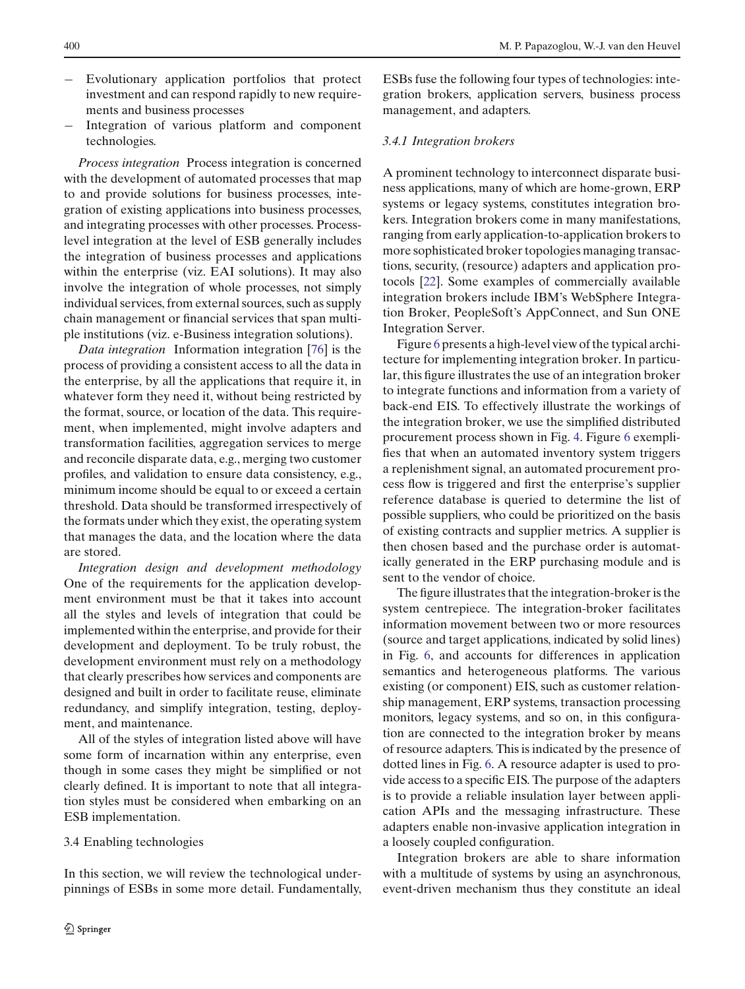- − Evolutionary application portfolios that protect investment and can respond rapidly to new requirements and business processes
- − Integration of various platform and component technologies.

*Process integration* Process integration is concerned with the development of automated processes that map to and provide solutions for business processes, integration of existing applications into business processes, and integrating processes with other processes. Processlevel integration at the level of ESB generally includes the integration of business processes and applications within the enterprise (viz. EAI solutions). It may also involve the integration of whole processes, not simply individual services, from external sources, such as supply chain management or financial services that span multiple institutions (viz. e-Business integration solutions).

*Data integration* Information integration [\[76\]](#page-27-14) is the process of providing a consistent access to all the data in the enterprise, by all the applications that require it, in whatever form they need it, without being restricted by the format, source, or location of the data. This requirement, when implemented, might involve adapters and transformation facilities, aggregation services to merge and reconcile disparate data, e.g., merging two customer profiles, and validation to ensure data consistency, e.g., minimum income should be equal to or exceed a certain threshold. Data should be transformed irrespectively of the formats under which they exist, the operating system that manages the data, and the location where the data are stored.

*Integration design and development methodology* One of the requirements for the application development environment must be that it takes into account all the styles and levels of integration that could be implemented within the enterprise, and provide for their development and deployment. To be truly robust, the development environment must rely on a methodology that clearly prescribes how services and components are designed and built in order to facilitate reuse, eliminate redundancy, and simplify integration, testing, deployment, and maintenance.

All of the styles of integration listed above will have some form of incarnation within any enterprise, even though in some cases they might be simplified or not clearly defined. It is important to note that all integration styles must be considered when embarking on an ESB implementation.

# 3.4 Enabling technologies

In this section, we will review the technological underpinnings of ESBs in some more detail. Fundamentally,

ESBs fuse the following four types of technologies: integration brokers, application servers, business process management, and adapters.

# *3.4.1 Integration brokers*

A prominent technology to interconnect disparate business applications, many of which are home-grown, ERP systems or legacy systems, constitutes integration brokers. Integration brokers come in many manifestations, ranging from early application-to-application brokers to more sophisticated broker topologies managing transactions, security, (resource) adapters and application protocols [\[22\]](#page-26-20). Some examples of commercially available integration brokers include IBM's WebSphere Integration Broker, PeopleSoft's AppConnect, and Sun ONE Integration Server.

Figure [6](#page-13-0) presents a high-level view of the typical architecture for implementing integration broker. In particular, this figure illustrates the use of an integration broker to integrate functions and information from a variety of back-end EIS. To effectively illustrate the workings of the integration broker, we use the simplified distributed procurement process shown in Fig. [4.](#page-7-0) Figure [6](#page-13-0) exemplifies that when an automated inventory system triggers a replenishment signal, an automated procurement process flow is triggered and first the enterprise's supplier reference database is queried to determine the list of possible suppliers, who could be prioritized on the basis of existing contracts and supplier metrics. A supplier is then chosen based and the purchase order is automatically generated in the ERP purchasing module and is sent to the vendor of choice.

The figure illustrates that the integration-broker is the system centrepiece. The integration-broker facilitates information movement between two or more resources (source and target applications, indicated by solid lines) in Fig. [6,](#page-13-0) and accounts for differences in application semantics and heterogeneous platforms. The various existing (or component) EIS, such as customer relationship management, ERP systems, transaction processing monitors, legacy systems, and so on, in this configuration are connected to the integration broker by means of resource adapters. This is indicated by the presence of dotted lines in Fig. [6.](#page-13-0) A resource adapter is used to provide access to a specific EIS. The purpose of the adapters is to provide a reliable insulation layer between application APIs and the messaging infrastructure. These adapters enable non-invasive application integration in a loosely coupled configuration.

Integration brokers are able to share information with a multitude of systems by using an asynchronous, event-driven mechanism thus they constitute an ideal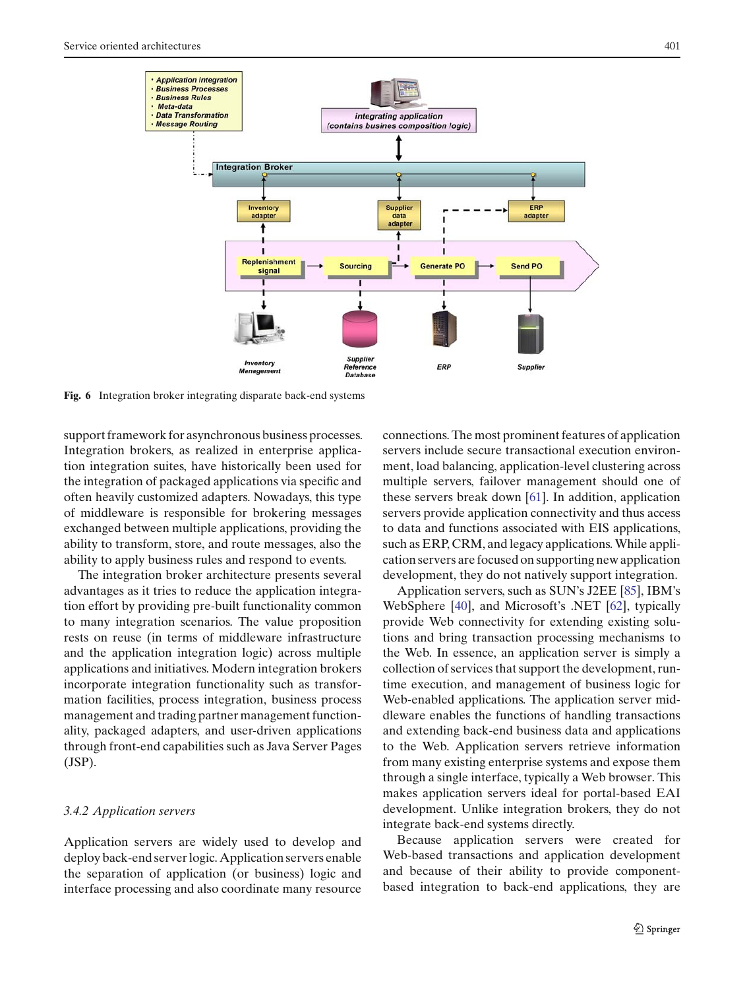

<span id="page-13-0"></span>**Fig. 6** Integration broker integrating disparate back-end systems

support framework for asynchronous business processes. Integration brokers, as realized in enterprise application integration suites, have historically been used for the integration of packaged applications via specific and often heavily customized adapters. Nowadays, this type of middleware is responsible for brokering messages exchanged between multiple applications, providing the ability to transform, store, and route messages, also the ability to apply business rules and respond to events.

The integration broker architecture presents several advantages as it tries to reduce the application integration effort by providing pre-built functionality common to many integration scenarios. The value proposition rests on reuse (in terms of middleware infrastructure and the application integration logic) across multiple applications and initiatives. Modern integration brokers incorporate integration functionality such as transformation facilities, process integration, business process management and trading partner management functionality, packaged adapters, and user-driven applications through front-end capabilities such as Java Server Pages (JSP).

# *3.4.2 Application servers*

Application servers are widely used to develop and deploy back-end server logic. Application servers enable the separation of application (or business) logic and interface processing and also coordinate many resource

connections. The most prominent features of application servers include secure transactional execution environment, load balancing, application-level clustering across multiple servers, failover management should one of these servers break down [\[61](#page-27-6)]. In addition, application servers provide application connectivity and thus access to data and functions associated with EIS applications, such as ERP, CRM, and legacy applications. While application servers are focused on supporting new application development, they do not natively support integration.

Application servers, such as SUN's J2EE [\[85](#page-27-15)], IBM's WebSphere [\[40\]](#page-26-21), and Microsoft's .NET [\[62\]](#page-27-16), typically provide Web connectivity for extending existing solutions and bring transaction processing mechanisms to the Web. In essence, an application server is simply a collection of services that support the development, runtime execution, and management of business logic for Web-enabled applications. The application server middleware enables the functions of handling transactions and extending back-end business data and applications to the Web. Application servers retrieve information from many existing enterprise systems and expose them through a single interface, typically a Web browser. This makes application servers ideal for portal-based EAI development. Unlike integration brokers, they do not integrate back-end systems directly.

Because application servers were created for Web-based transactions and application development and because of their ability to provide componentbased integration to back-end applications, they are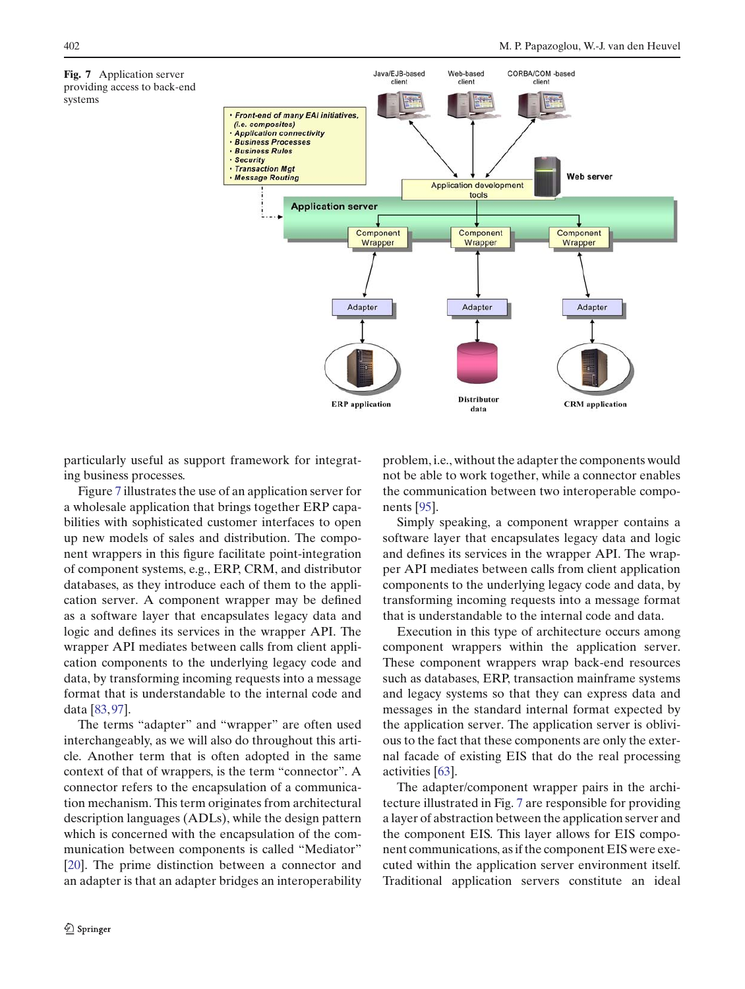<span id="page-14-0"></span>**Fig. 7** Application server providing access to back-end systems



particularly useful as support framework for integrating business processes.

Figure [7](#page-14-0) illustrates the use of an application server for a wholesale application that brings together ERP capabilities with sophisticated customer interfaces to open up new models of sales and distribution. The component wrappers in this figure facilitate point-integration of component systems, e.g., ERP, CRM, and distributor databases, as they introduce each of them to the application server. A component wrapper may be defined as a software layer that encapsulates legacy data and logic and defines its services in the wrapper API. The wrapper API mediates between calls from client application components to the underlying legacy code and data, by transforming incoming requests into a message format that is understandable to the internal code and data [\[83,](#page-27-17)[97](#page-27-18)].

The terms "adapter" and "wrapper" are often used interchangeably, as we will also do throughout this article. Another term that is often adopted in the same context of that of wrappers, is the term "connector". A connector refers to the encapsulation of a communication mechanism. This term originates from architectural description languages (ADLs), while the design pattern which is concerned with the encapsulation of the communication between components is called "Mediator" [\[20](#page-26-22)]. The prime distinction between a connector and an adapter is that an adapter bridges an interoperability problem, i.e., without the adapter the components would not be able to work together, while a connector enables the communication between two interoperable components [\[95](#page-27-19)].

Simply speaking, a component wrapper contains a software layer that encapsulates legacy data and logic and defines its services in the wrapper API. The wrapper API mediates between calls from client application components to the underlying legacy code and data, by transforming incoming requests into a message format that is understandable to the internal code and data.

Execution in this type of architecture occurs among component wrappers within the application server. These component wrappers wrap back-end resources such as databases, ERP, transaction mainframe systems and legacy systems so that they can express data and messages in the standard internal format expected by the application server. The application server is oblivious to the fact that these components are only the external facade of existing EIS that do the real processing activities [\[63](#page-27-20)].

The adapter/component wrapper pairs in the architecture illustrated in Fig. [7](#page-14-0) are responsible for providing a layer of abstraction between the application server and the component EIS. This layer allows for EIS component communications, as if the component EIS were executed within the application server environment itself. Traditional application servers constitute an ideal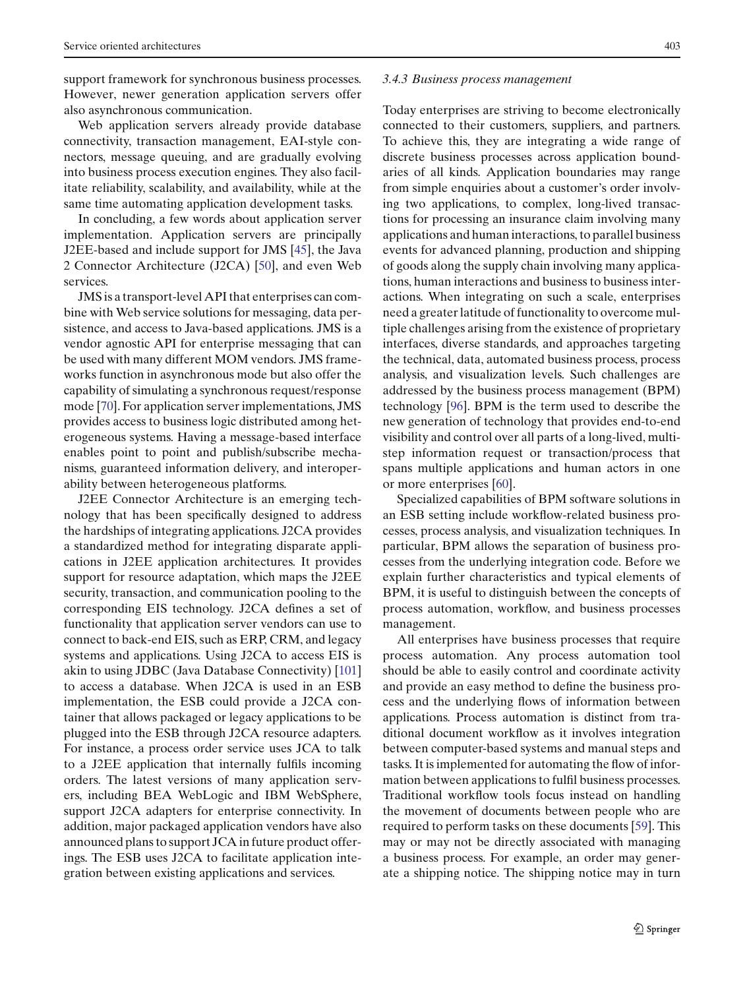support framework for synchronous business processes. However, newer generation application servers offer also asynchronous communication.

Web application servers already provide database connectivity, transaction management, EAI-style connectors, message queuing, and are gradually evolving into business process execution engines. They also facilitate reliability, scalability, and availability, while at the same time automating application development tasks.

In concluding, a few words about application server implementation. Application servers are principally J2EE-based and include support for JMS [\[45](#page-26-23)], the Java 2 Connector Architecture (J2CA) [\[50\]](#page-26-24), and even Web services.

JMS is a transport-level API that enterprises can combine with Web service solutions for messaging, data persistence, and access to Java-based applications. JMS is a vendor agnostic API for enterprise messaging that can be used with many different MOM vendors. JMS frameworks function in asynchronous mode but also offer the capability of simulating a synchronous request/response mode [\[70\]](#page-27-21). For application server implementations, JMS provides access to business logic distributed among heterogeneous systems. Having a message-based interface enables point to point and publish/subscribe mechanisms, guaranteed information delivery, and interoperability between heterogeneous platforms.

J2EE Connector Architecture is an emerging technology that has been specifically designed to address the hardships of integrating applications. J2CA provides a standardized method for integrating disparate applications in J2EE application architectures. It provides support for resource adaptation, which maps the J2EE security, transaction, and communication pooling to the corresponding EIS technology. J2CA defines a set of functionality that application server vendors can use to connect to back-end EIS, such as ERP, CRM, and legacy systems and applications. Using J2CA to access EIS is akin to using JDBC (Java Database Connectivity) [\[101\]](#page-27-22) to access a database. When J2CA is used in an ESB implementation, the ESB could provide a J2CA container that allows packaged or legacy applications to be plugged into the ESB through J2CA resource adapters. For instance, a process order service uses JCA to talk to a J2EE application that internally fulfils incoming orders. The latest versions of many application servers, including BEA WebLogic and IBM WebSphere, support J2CA adapters for enterprise connectivity. In addition, major packaged application vendors have also announced plans to support JCA in future product offerings. The ESB uses J2CA to facilitate application integration between existing applications and services.

#### *3.4.3 Business process management*

Today enterprises are striving to become electronically connected to their customers, suppliers, and partners. To achieve this, they are integrating a wide range of discrete business processes across application boundaries of all kinds. Application boundaries may range from simple enquiries about a customer's order involving two applications, to complex, long-lived transactions for processing an insurance claim involving many applications and human interactions, to parallel business events for advanced planning, production and shipping of goods along the supply chain involving many applications, human interactions and business to business interactions. When integrating on such a scale, enterprises need a greater latitude of functionality to overcome multiple challenges arising from the existence of proprietary interfaces, diverse standards, and approaches targeting the technical, data, automated business process, process analysis, and visualization levels. Such challenges are addressed by the business process management (BPM) technology [\[96](#page-27-23)]. BPM is the term used to describe the new generation of technology that provides end-to-end visibility and control over all parts of a long-lived, multistep information request or transaction/process that spans multiple applications and human actors in one or more enterprises [\[60\]](#page-27-24).

Specialized capabilities of BPM software solutions in an ESB setting include workflow-related business processes, process analysis, and visualization techniques. In particular, BPM allows the separation of business processes from the underlying integration code. Before we explain further characteristics and typical elements of BPM, it is useful to distinguish between the concepts of process automation, workflow, and business processes management.

All enterprises have business processes that require process automation. Any process automation tool should be able to easily control and coordinate activity and provide an easy method to define the business process and the underlying flows of information between applications. Process automation is distinct from traditional document workflow as it involves integration between computer-based systems and manual steps and tasks. It is implemented for automating the flow of information between applications to fulfil business processes. Traditional workflow tools focus instead on handling the movement of documents between people who are required to perform tasks on these documents [\[59\]](#page-26-25). This may or may not be directly associated with managing a business process. For example, an order may generate a shipping notice. The shipping notice may in turn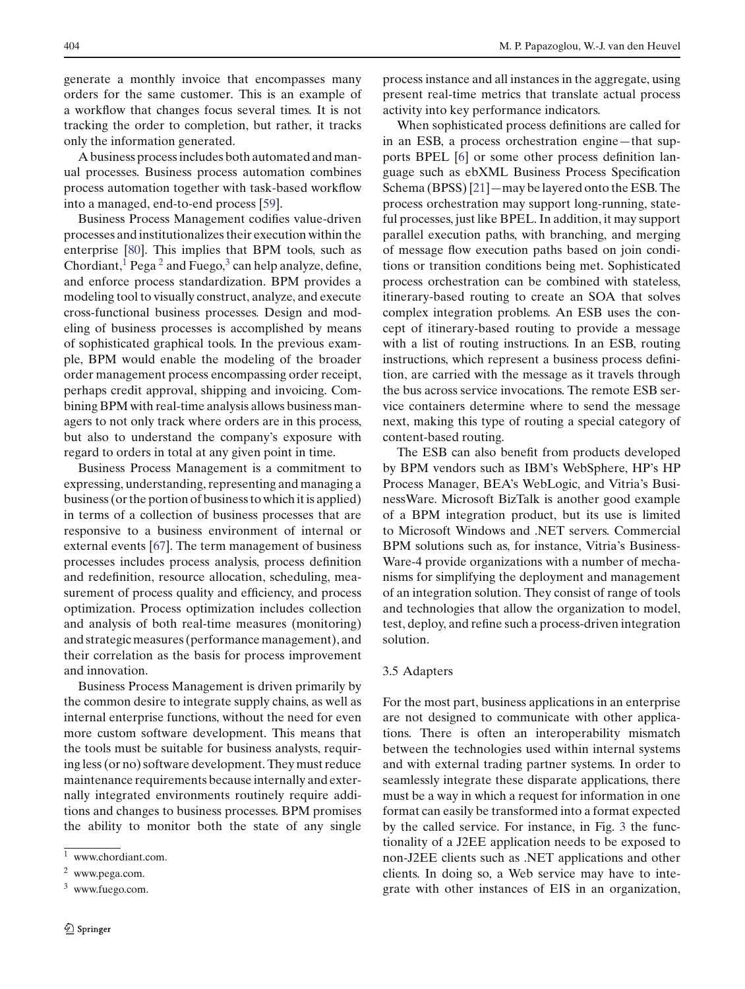generate a monthly invoice that encompasses many orders for the same customer. This is an example of a workflow that changes focus several times. It is not tracking the order to completion, but rather, it tracks only the information generated.

A business process includes both automated and manual processes. Business process automation combines process automation together with task-based workflow into a managed, end-to-end process [\[59](#page-26-25)].

Business Process Management codifies value-driven processes and institutionalizes their execution within the enterprise [\[80](#page-27-25)]. This implies that BPM tools, such as Chordiant,  ${}^{1}$  Pega  ${}^{2}$  ${}^{2}$  ${}^{2}$  and Fuego,  ${}^{3}$  ${}^{3}$  ${}^{3}$  can help analyze, define, and enforce process standardization. BPM provides a modeling tool to visually construct, analyze, and execute cross-functional business processes. Design and modeling of business processes is accomplished by means of sophisticated graphical tools. In the previous example, BPM would enable the modeling of the broader order management process encompassing order receipt, perhaps credit approval, shipping and invoicing. Combining BPM with real-time analysis allows business managers to not only track where orders are in this process, but also to understand the company's exposure with regard to orders in total at any given point in time.

Business Process Management is a commitment to expressing, understanding, representing and managing a business (or the portion of business to which it is applied) in terms of a collection of business processes that are responsive to a business environment of internal or external events [\[67\]](#page-27-26). The term management of business processes includes process analysis, process definition and redefinition, resource allocation, scheduling, measurement of process quality and efficiency, and process optimization. Process optimization includes collection and analysis of both real-time measures (monitoring) and strategic measures (performance management), and their correlation as the basis for process improvement and innovation.

Business Process Management is driven primarily by the common desire to integrate supply chains, as well as internal enterprise functions, without the need for even more custom software development. This means that the tools must be suitable for business analysts, requiring less (or no) software development. They must reduce maintenance requirements because internally and externally integrated environments routinely require additions and changes to business processes. BPM promises the ability to monitor both the state of any single

process instance and all instances in the aggregate, using present real-time metrics that translate actual process activity into key performance indicators.

When sophisticated process definitions are called for in an ESB, a process orchestration engine—that supports BPEL [\[6\]](#page-25-10) or some other process definition language such as ebXML Business Process Specification Schema (BPSS) [\[21](#page-26-26)]—may be layered onto the ESB. The process orchestration may support long-running, stateful processes, just like BPEL. In addition, it may support parallel execution paths, with branching, and merging of message flow execution paths based on join conditions or transition conditions being met. Sophisticated process orchestration can be combined with stateless, itinerary-based routing to create an SOA that solves complex integration problems. An ESB uses the concept of itinerary-based routing to provide a message with a list of routing instructions. In an ESB, routing instructions, which represent a business process definition, are carried with the message as it travels through the bus across service invocations. The remote ESB service containers determine where to send the message next, making this type of routing a special category of content-based routing.

The ESB can also benefit from products developed by BPM vendors such as IBM's WebSphere, HP's HP Process Manager, BEA's WebLogic, and Vitria's BusinessWare. Microsoft BizTalk is another good example of a BPM integration product, but its use is limited to Microsoft Windows and .NET servers. Commercial BPM solutions such as, for instance, Vitria's Business-Ware-4 provide organizations with a number of mechanisms for simplifying the deployment and management of an integration solution. They consist of range of tools and technologies that allow the organization to model, test, deploy, and refine such a process-driven integration solution.

# 3.5 Adapters

For the most part, business applications in an enterprise are not designed to communicate with other applications. There is often an interoperability mismatch between the technologies used within internal systems and with external trading partner systems. In order to seamlessly integrate these disparate applications, there must be a way in which a request for information in one format can easily be transformed into a format expected by the called service. For instance, in Fig. [3](#page-5-0) the functionality of a J2EE application needs to be exposed to non-J2EE clients such as .NET applications and other clients. In doing so, a Web service may have to integrate with other instances of EIS in an organization,

 $\overline{1}$  www.chordiant.com.

<span id="page-16-0"></span><sup>2</sup> www.pega.com.

<span id="page-16-2"></span><span id="page-16-1"></span><sup>3</sup> www.fuego.com.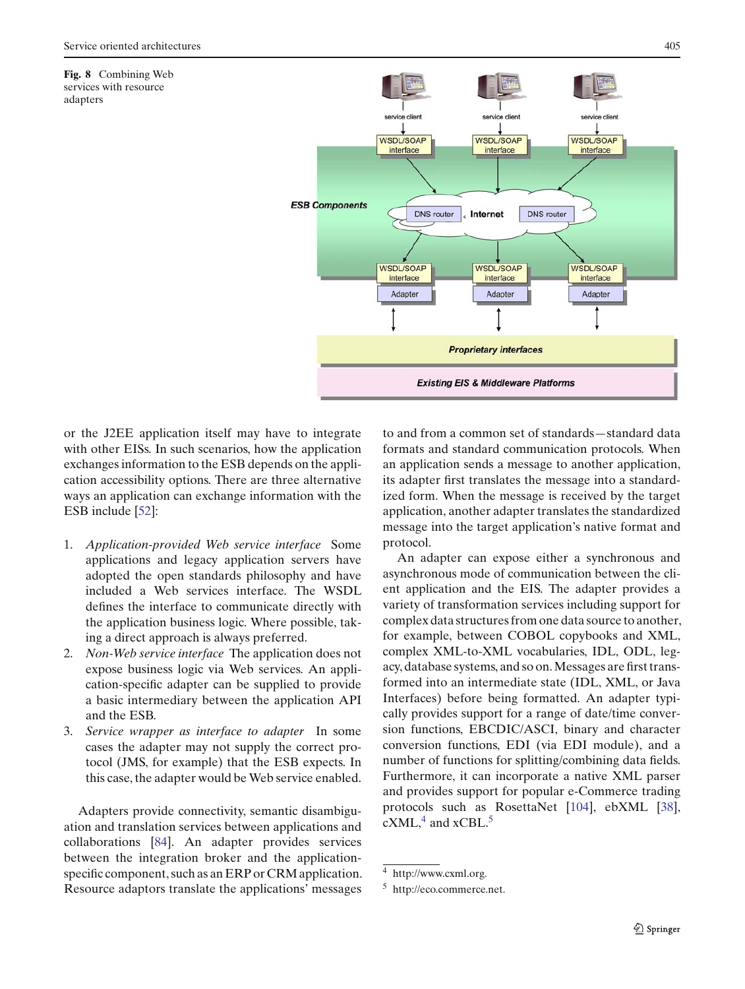<span id="page-17-2"></span>



or the J2EE application itself may have to integrate with other EISs. In such scenarios, how the application exchanges information to the ESB depends on the application accessibility options. There are three alternative ways an application can exchange information with the ESB include [\[52\]](#page-26-12):

- 1. *Application-provided Web service interface* Some applications and legacy application servers have adopted the open standards philosophy and have included a Web services interface. The WSDL defines the interface to communicate directly with the application business logic. Where possible, taking a direct approach is always preferred.
- 2. *Non-Web service interface* The application does not expose business logic via Web services. An application-specific adapter can be supplied to provide a basic intermediary between the application API and the ESB.
- 3. *Service wrapper as interface to adapter* In some cases the adapter may not supply the correct protocol (JMS, for example) that the ESB expects. In this case, the adapter would be Web service enabled.

Adapters provide connectivity, semantic disambiguation and translation services between applications and collaborations [\[84\]](#page-27-27). An adapter provides services between the integration broker and the applicationspecific component, such as an ERP or CRM application. Resource adaptors translate the applications' messages to and from a common set of standards—standard data formats and standard communication protocols. When an application sends a message to another application, its adapter first translates the message into a standardized form. When the message is received by the target application, another adapter translates the standardized message into the target application's native format and protocol.

An adapter can expose either a synchronous and asynchronous mode of communication between the client application and the EIS. The adapter provides a variety of transformation services including support for complex data structures from one data source to another, for example, between COBOL copybooks and XML, complex XML-to-XML vocabularies, IDL, ODL, legacy, database systems, and so on.Messages are first transformed into an intermediate state (IDL, XML, or Java Interfaces) before being formatted. An adapter typically provides support for a range of date/time conversion functions, EBCDIC/ASCI, binary and character conversion functions, EDI (via EDI module), and a number of functions for splitting/combining data fields. Furthermore, it can incorporate a native XML parser and provides support for popular e-Commerce trading protocols such as RosettaNet [\[104\]](#page-27-28), ebXML [\[38](#page-26-27)],  $cXML$ ,<sup>[4](#page-17-0)</sup> and  $xCBL$ .<sup>[5](#page-17-1)</sup>

<sup>4</sup> http://www.cxml.org.

<span id="page-17-1"></span><span id="page-17-0"></span><sup>5</sup> http://eco.commerce.net.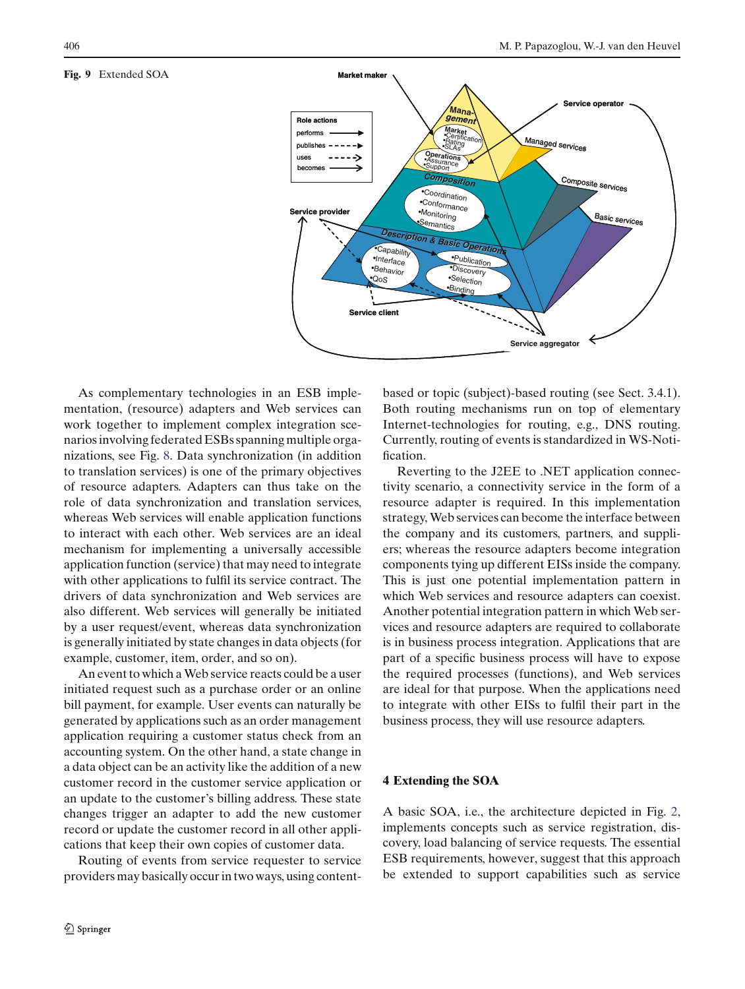## <span id="page-18-0"></span>**Fig. 9** Extended SOA



As complementary technologies in an ESB implementation, (resource) adapters and Web services can work together to implement complex integration scenarios involving federated ESBs spanning multiple organizations, see Fig. [8.](#page-17-2) Data synchronization (in addition to translation services) is one of the primary objectives of resource adapters. Adapters can thus take on the role of data synchronization and translation services, whereas Web services will enable application functions to interact with each other. Web services are an ideal mechanism for implementing a universally accessible application function (service) that may need to integrate with other applications to fulfil its service contract. The drivers of data synchronization and Web services are also different. Web services will generally be initiated by a user request/event, whereas data synchronization is generally initiated by state changes in data objects (for example, customer, item, order, and so on).

An event to which aWeb service reacts could be a user initiated request such as a purchase order or an online bill payment, for example. User events can naturally be generated by applications such as an order management application requiring a customer status check from an accounting system. On the other hand, a state change in a data object can be an activity like the addition of a new customer record in the customer service application or an update to the customer's billing address. These state changes trigger an adapter to add the new customer record or update the customer record in all other applications that keep their own copies of customer data.

Routing of events from service requester to service providers may basically occur in two ways, using contentbased or topic (subject)-based routing (see Sect. 3.4.1). Both routing mechanisms run on top of elementary Internet-technologies for routing, e.g., DNS routing. Currently, routing of events is standardized in WS-Notification.

Reverting to the J2EE to .NET application connectivity scenario, a connectivity service in the form of a resource adapter is required. In this implementation strategy,Web services can become the interface between the company and its customers, partners, and suppliers; whereas the resource adapters become integration components tying up different EISs inside the company. This is just one potential implementation pattern in which Web services and resource adapters can coexist. Another potential integration pattern in which Web services and resource adapters are required to collaborate is in business process integration. Applications that are part of a specific business process will have to expose the required processes (functions), and Web services are ideal for that purpose. When the applications need to integrate with other EISs to fulfil their part in the business process, they will use resource adapters.

# **4 Extending the SOA**

A basic SOA, i.e., the architecture depicted in Fig. [2,](#page-4-1) implements concepts such as service registration, discovery, load balancing of service requests. The essential ESB requirements, however, suggest that this approach be extended to support capabilities such as service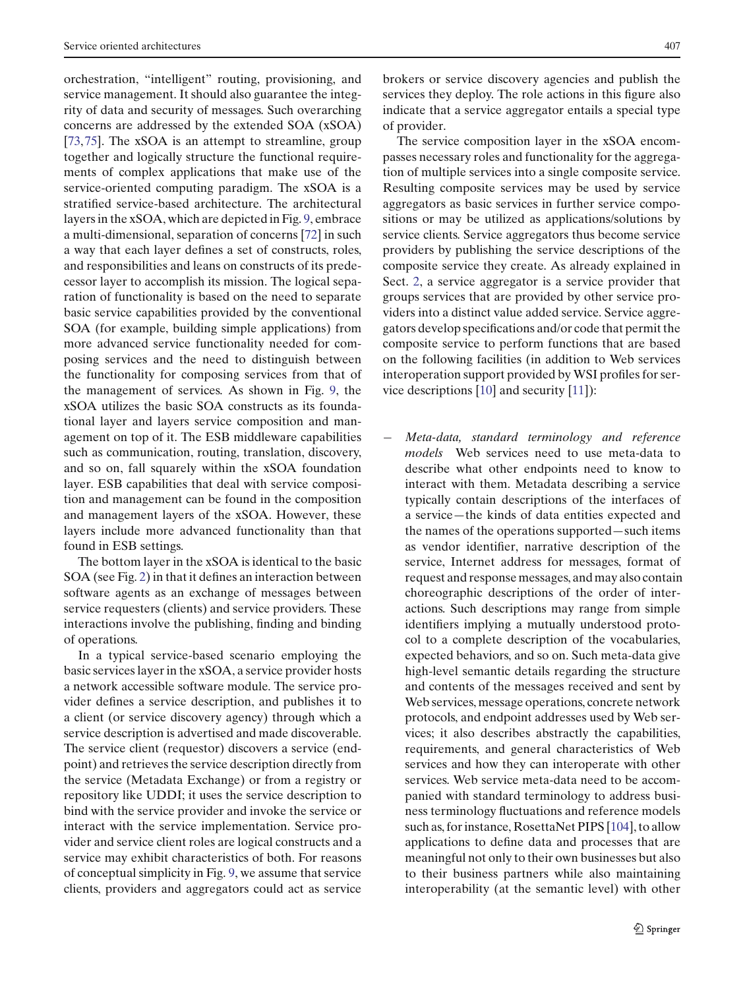orchestration, "intelligent" routing, provisioning, and service management. It should also guarantee the integrity of data and security of messages. Such overarching concerns are addressed by the extended SOA (xSOA) [\[73](#page-27-3),[75\]](#page-27-29). The xSOA is an attempt to streamline, group together and logically structure the functional requirements of complex applications that make use of the service-oriented computing paradigm. The xSOA is a stratified service-based architecture. The architectural layers in the xSOA, which are depicted in Fig. [9,](#page-18-0) embrace a multi-dimensional, separation of concerns [\[72\]](#page-27-30) in such a way that each layer defines a set of constructs, roles, and responsibilities and leans on constructs of its predecessor layer to accomplish its mission. The logical separation of functionality is based on the need to separate basic service capabilities provided by the conventional SOA (for example, building simple applications) from more advanced service functionality needed for composing services and the need to distinguish between the functionality for composing services from that of the management of services. As shown in Fig. [9,](#page-18-0) the xSOA utilizes the basic SOA constructs as its foundational layer and layers service composition and management on top of it. The ESB middleware capabilities such as communication, routing, translation, discovery, and so on, fall squarely within the xSOA foundation layer. ESB capabilities that deal with service composition and management can be found in the composition and management layers of the xSOA. However, these layers include more advanced functionality than that found in ESB settings.

The bottom layer in the xSOA is identical to the basic SOA (see Fig. [2\)](#page-4-1) in that it defines an interaction between software agents as an exchange of messages between service requesters (clients) and service providers. These interactions involve the publishing, finding and binding of operations.

In a typical service-based scenario employing the basic services layer in the xSOA, a service provider hosts a network accessible software module. The service provider defines a service description, and publishes it to a client (or service discovery agency) through which a service description is advertised and made discoverable. The service client (requestor) discovers a service (endpoint) and retrieves the service description directly from the service (Metadata Exchange) or from a registry or repository like UDDI; it uses the service description to bind with the service provider and invoke the service or interact with the service implementation. Service provider and service client roles are logical constructs and a service may exhibit characteristics of both. For reasons of conceptual simplicity in Fig. [9,](#page-18-0) we assume that service clients, providers and aggregators could act as service brokers or service discovery agencies and publish the services they deploy. The role actions in this figure also indicate that a service aggregator entails a special type of provider.

The service composition layer in the xSOA encompasses necessary roles and functionality for the aggregation of multiple services into a single composite service. Resulting composite services may be used by service aggregators as basic services in further service compositions or may be utilized as applications/solutions by service clients. Service aggregators thus become service providers by publishing the service descriptions of the composite service they create. As already explained in Sect. [2,](#page-3-0) a service aggregator is a service provider that groups services that are provided by other service providers into a distinct value added service. Service aggregators develop specifications and/or code that permit the composite service to perform functions that are based on the following facilities (in addition to Web services interoperation support provided by WSI profiles for service descriptions [\[10\]](#page-25-11) and security [\[11\]](#page-25-12)):

− *Meta-data, standard terminology and reference models* Web services need to use meta-data to describe what other endpoints need to know to interact with them. Metadata describing a service typically contain descriptions of the interfaces of a service—the kinds of data entities expected and the names of the operations supported—such items as vendor identifier, narrative description of the service, Internet address for messages, format of request and response messages, and may also contain choreographic descriptions of the order of interactions. Such descriptions may range from simple identifiers implying a mutually understood protocol to a complete description of the vocabularies, expected behaviors, and so on. Such meta-data give high-level semantic details regarding the structure and contents of the messages received and sent by Web services, message operations, concrete network protocols, and endpoint addresses used by Web services; it also describes abstractly the capabilities, requirements, and general characteristics of Web services and how they can interoperate with other services. Web service meta-data need to be accompanied with standard terminology to address business terminology fluctuations and reference models such as, for instance, RosettaNet PIPS [\[104](#page-27-28)], to allow applications to define data and processes that are meaningful not only to their own businesses but also to their business partners while also maintaining interoperability (at the semantic level) with other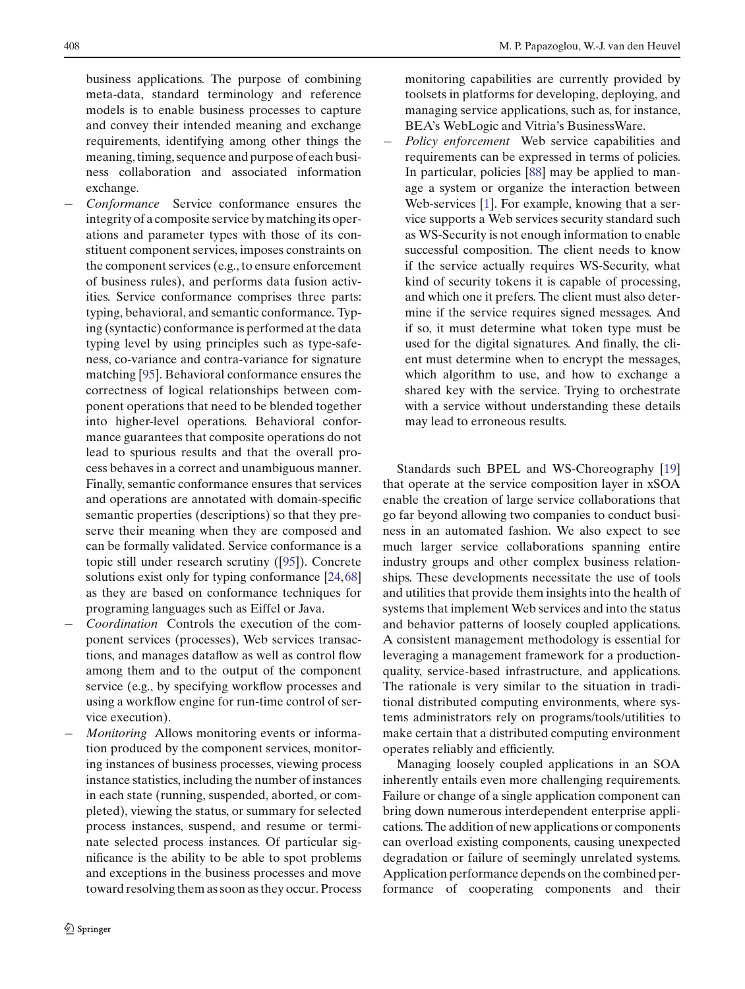business applications. The purpose of combining meta-data, standard terminology and reference models is to enable business processes to capture and convey their intended meaning and exchange requirements, identifying among other things the meaning, timing, sequence and purpose of each business collaboration and associated information exchange.

- − *Conformance* Service conformance ensures the integrity of a composite service by matching its operations and parameter types with those of its constituent component services, imposes constraints on the component services (e.g., to ensure enforcement of business rules), and performs data fusion activities. Service conformance comprises three parts: typing, behavioral, and semantic conformance. Typing (syntactic) conformance is performed at the data typing level by using principles such as type-safeness, co-variance and contra-variance for signature matching [\[95](#page-27-19)]. Behavioral conformance ensures the correctness of logical relationships between component operations that need to be blended together into higher-level operations. Behavioral conformance guarantees that composite operations do not lead to spurious results and that the overall process behaves in a correct and unambiguous manner. Finally, semantic conformance ensures that services and operations are annotated with domain-specific semantic properties (descriptions) so that they preserve their meaning when they are composed and can be formally validated. Service conformance is a topic still under research scrutiny ([\[95](#page-27-19)]). Concrete solutions exist only for typing conformance [\[24](#page-26-28),[68\]](#page-27-31) as they are based on conformance techniques for programing languages such as Eiffel or Java.
- − *Coordination* Controls the execution of the component services (processes), Web services transactions, and manages dataflow as well as control flow among them and to the output of the component service (e.g., by specifying workflow processes and using a workflow engine for run-time control of service execution).
- *Monitoring* Allows monitoring events or information produced by the component services, monitoring instances of business processes, viewing process instance statistics, including the number of instances in each state (running, suspended, aborted, or completed), viewing the status, or summary for selected process instances, suspend, and resume or terminate selected process instances. Of particular significance is the ability to be able to spot problems and exceptions in the business processes and move toward resolving them as soon as they occur. Process

monitoring capabilities are currently provided by toolsets in platforms for developing, deploying, and managing service applications, such as, for instance, BEA's WebLogic and Vitria's BusinessWare.

*Policy enforcement* Web service capabilities and requirements can be expressed in terms of policies. In particular, policies [\[88](#page-27-32)] may be applied to manage a system or organize the interaction between Web-services [\[1\]](#page-25-0). For example, knowing that a service supports a Web services security standard such as WS-Security is not enough information to enable successful composition. The client needs to know if the service actually requires WS-Security, what kind of security tokens it is capable of processing, and which one it prefers. The client must also determine if the service requires signed messages. And if so, it must determine what token type must be used for the digital signatures. And finally, the client must determine when to encrypt the messages, which algorithm to use, and how to exchange a shared key with the service. Trying to orchestrate with a service without understanding these details may lead to erroneous results.

Standards such BPEL and WS-Choreography [\[19\]](#page-26-29) that operate at the service composition layer in xSOA enable the creation of large service collaborations that go far beyond allowing two companies to conduct business in an automated fashion. We also expect to see much larger service collaborations spanning entire industry groups and other complex business relationships. These developments necessitate the use of tools and utilities that provide them insights into the health of systems that implement Web services and into the status and behavior patterns of loosely coupled applications. A consistent management methodology is essential for leveraging a management framework for a productionquality, service-based infrastructure, and applications. The rationale is very similar to the situation in traditional distributed computing environments, where systems administrators rely on programs/tools/utilities to make certain that a distributed computing environment operates reliably and efficiently.

Managing loosely coupled applications in an SOA inherently entails even more challenging requirements. Failure or change of a single application component can bring down numerous interdependent enterprise applications. The addition of new applications or components can overload existing components, causing unexpected degradation or failure of seemingly unrelated systems. Application performance depends on the combined performance of cooperating components and their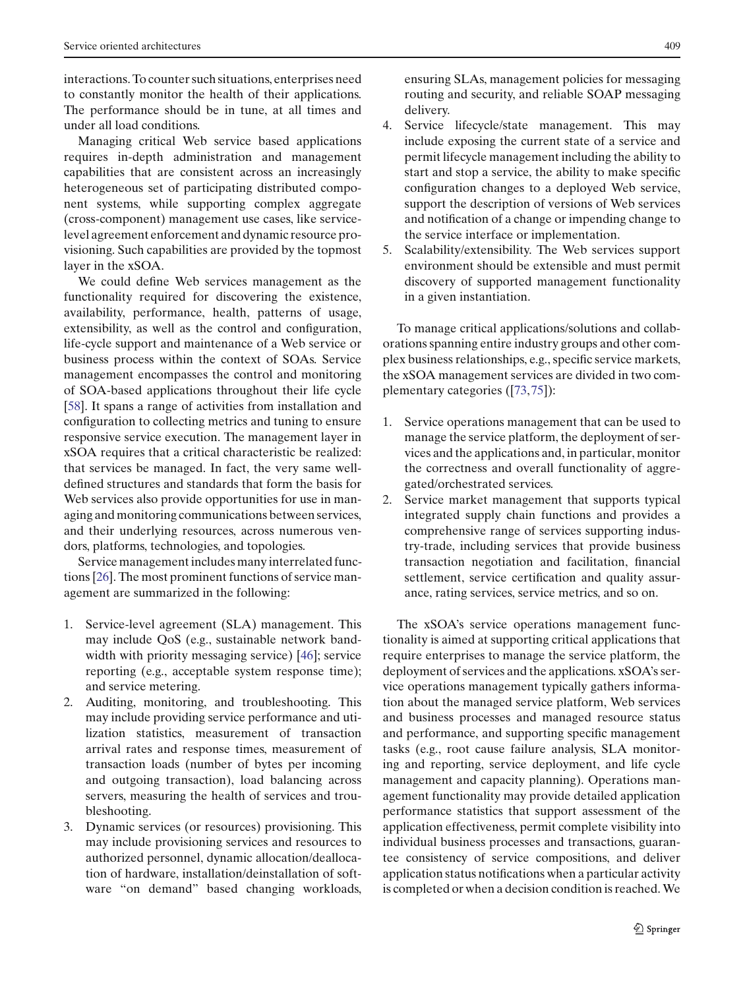interactions. To counter such situations, enterprises need to constantly monitor the health of their applications. The performance should be in tune, at all times and under all load conditions.

Managing critical Web service based applications requires in-depth administration and management capabilities that are consistent across an increasingly heterogeneous set of participating distributed component systems, while supporting complex aggregate (cross-component) management use cases, like servicelevel agreement enforcement and dynamic resource provisioning. Such capabilities are provided by the topmost layer in the xSOA.

We could define Web services management as the functionality required for discovering the existence, availability, performance, health, patterns of usage, extensibility, as well as the control and configuration, life-cycle support and maintenance of a Web service or business process within the context of SOAs. Service management encompasses the control and monitoring of SOA-based applications throughout their life cycle [\[58](#page-26-30)]. It spans a range of activities from installation and configuration to collecting metrics and tuning to ensure responsive service execution. The management layer in xSOA requires that a critical characteristic be realized: that services be managed. In fact, the very same welldefined structures and standards that form the basis for Web services also provide opportunities for use in managing and monitoring communications between services, and their underlying resources, across numerous vendors, platforms, technologies, and topologies.

Service management includes many interrelated functions [\[26](#page-26-31)]. The most prominent functions of service management are summarized in the following:

- 1. Service-level agreement (SLA) management. This may include QoS (e.g., sustainable network bandwidth with priority messaging service) [\[46](#page-26-32)]; service reporting (e.g., acceptable system response time); and service metering.
- 2. Auditing, monitoring, and troubleshooting. This may include providing service performance and utilization statistics, measurement of transaction arrival rates and response times, measurement of transaction loads (number of bytes per incoming and outgoing transaction), load balancing across servers, measuring the health of services and troubleshooting.
- 3. Dynamic services (or resources) provisioning. This may include provisioning services and resources to authorized personnel, dynamic allocation/deallocation of hardware, installation/deinstallation of software "on demand" based changing workloads,

ensuring SLAs, management policies for messaging routing and security, and reliable SOAP messaging delivery.

- 4. Service lifecycle/state management. This may include exposing the current state of a service and permit lifecycle management including the ability to start and stop a service, the ability to make specific configuration changes to a deployed Web service, support the description of versions of Web services and notification of a change or impending change to the service interface or implementation.
- 5. Scalability/extensibility. The Web services support environment should be extensible and must permit discovery of supported management functionality in a given instantiation.

To manage critical applications/solutions and collaborations spanning entire industry groups and other complex business relationships, e.g., specific service markets, the xSOA management services are divided in two complementary categories ([\[73](#page-27-3),[75\]](#page-27-29)):

- 1. Service operations management that can be used to manage the service platform, the deployment of services and the applications and, in particular, monitor the correctness and overall functionality of aggregated/orchestrated services.
- 2. Service market management that supports typical integrated supply chain functions and provides a comprehensive range of services supporting industry-trade, including services that provide business transaction negotiation and facilitation, financial settlement, service certification and quality assurance, rating services, service metrics, and so on.

The xSOA's service operations management functionality is aimed at supporting critical applications that require enterprises to manage the service platform, the deployment of services and the applications. xSOA's service operations management typically gathers information about the managed service platform, Web services and business processes and managed resource status and performance, and supporting specific management tasks (e.g., root cause failure analysis, SLA monitoring and reporting, service deployment, and life cycle management and capacity planning). Operations management functionality may provide detailed application performance statistics that support assessment of the application effectiveness, permit complete visibility into individual business processes and transactions, guarantee consistency of service compositions, and deliver application status notifications when a particular activity is completed or when a decision condition is reached.We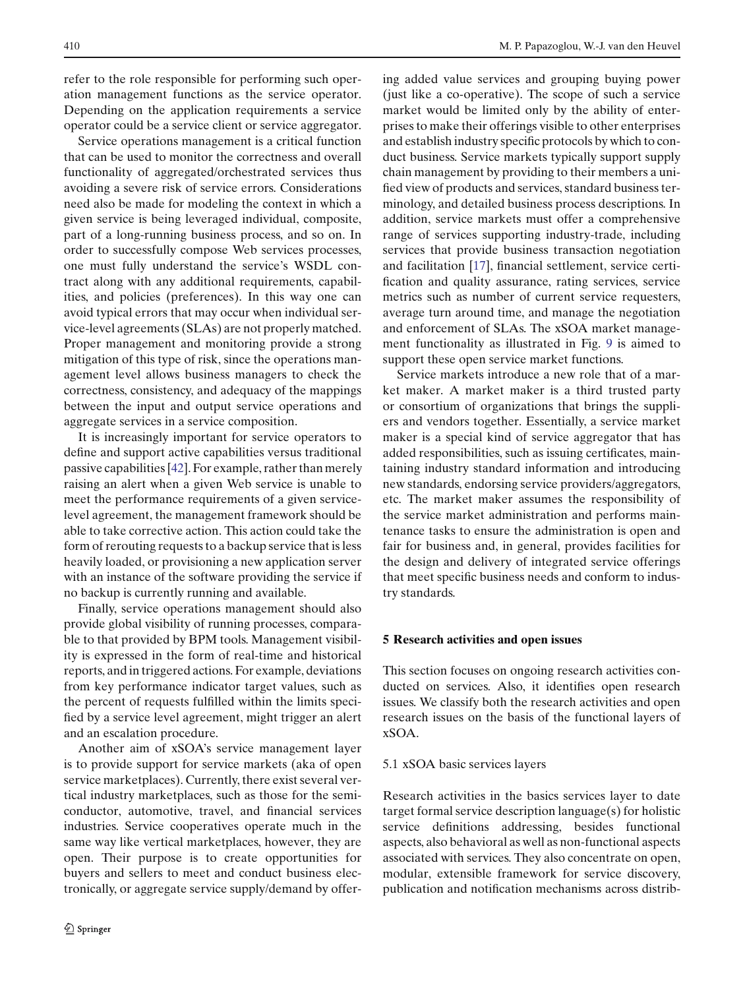refer to the role responsible for performing such operation management functions as the service operator. Depending on the application requirements a service operator could be a service client or service aggregator.

Service operations management is a critical function that can be used to monitor the correctness and overall functionality of aggregated/orchestrated services thus avoiding a severe risk of service errors. Considerations need also be made for modeling the context in which a given service is being leveraged individual, composite, part of a long-running business process, and so on. In order to successfully compose Web services processes, one must fully understand the service's WSDL contract along with any additional requirements, capabilities, and policies (preferences). In this way one can avoid typical errors that may occur when individual service-level agreements (SLAs) are not properly matched. Proper management and monitoring provide a strong mitigation of this type of risk, since the operations management level allows business managers to check the correctness, consistency, and adequacy of the mappings between the input and output service operations and aggregate services in a service composition.

It is increasingly important for service operators to define and support active capabilities versus traditional passive capabilities [\[42](#page-26-33)]. For example, rather than merely raising an alert when a given Web service is unable to meet the performance requirements of a given servicelevel agreement, the management framework should be able to take corrective action. This action could take the form of rerouting requests to a backup service that is less heavily loaded, or provisioning a new application server with an instance of the software providing the service if no backup is currently running and available.

Finally, service operations management should also provide global visibility of running processes, comparable to that provided by BPM tools. Management visibility is expressed in the form of real-time and historical reports, and in triggered actions. For example, deviations from key performance indicator target values, such as the percent of requests fulfilled within the limits specified by a service level agreement, might trigger an alert and an escalation procedure.

Another aim of xSOA's service management layer is to provide support for service markets (aka of open service marketplaces). Currently, there exist several vertical industry marketplaces, such as those for the semiconductor, automotive, travel, and financial services industries. Service cooperatives operate much in the same way like vertical marketplaces, however, they are open. Their purpose is to create opportunities for buyers and sellers to meet and conduct business electronically, or aggregate service supply/demand by offering added value services and grouping buying power (just like a co-operative). The scope of such a service market would be limited only by the ability of enterprises to make their offerings visible to other enterprises and establish industry specific protocols by which to conduct business. Service markets typically support supply chain management by providing to their members a unified view of products and services, standard business terminology, and detailed business process descriptions. In addition, service markets must offer a comprehensive range of services supporting industry-trade, including services that provide business transaction negotiation and facilitation [\[17](#page-26-34)], financial settlement, service certification and quality assurance, rating services, service metrics such as number of current service requesters, average turn around time, and manage the negotiation and enforcement of SLAs. The xSOA market management functionality as illustrated in Fig. [9](#page-18-0) is aimed to support these open service market functions.

Service markets introduce a new role that of a market maker. A market maker is a third trusted party or consortium of organizations that brings the suppliers and vendors together. Essentially, a service market maker is a special kind of service aggregator that has added responsibilities, such as issuing certificates, maintaining industry standard information and introducing new standards, endorsing service providers/aggregators, etc. The market maker assumes the responsibility of the service market administration and performs maintenance tasks to ensure the administration is open and fair for business and, in general, provides facilities for the design and delivery of integrated service offerings that meet specific business needs and conform to industry standards.

## **5 Research activities and open issues**

This section focuses on ongoing research activities conducted on services. Also, it identifies open research issues. We classify both the research activities and open research issues on the basis of the functional layers of xSOA.

#### 5.1 xSOA basic services layers

Research activities in the basics services layer to date target formal service description language(s) for holistic service definitions addressing, besides functional aspects, also behavioral as well as non-functional aspects associated with services. They also concentrate on open, modular, extensible framework for service discovery, publication and notification mechanisms across distrib-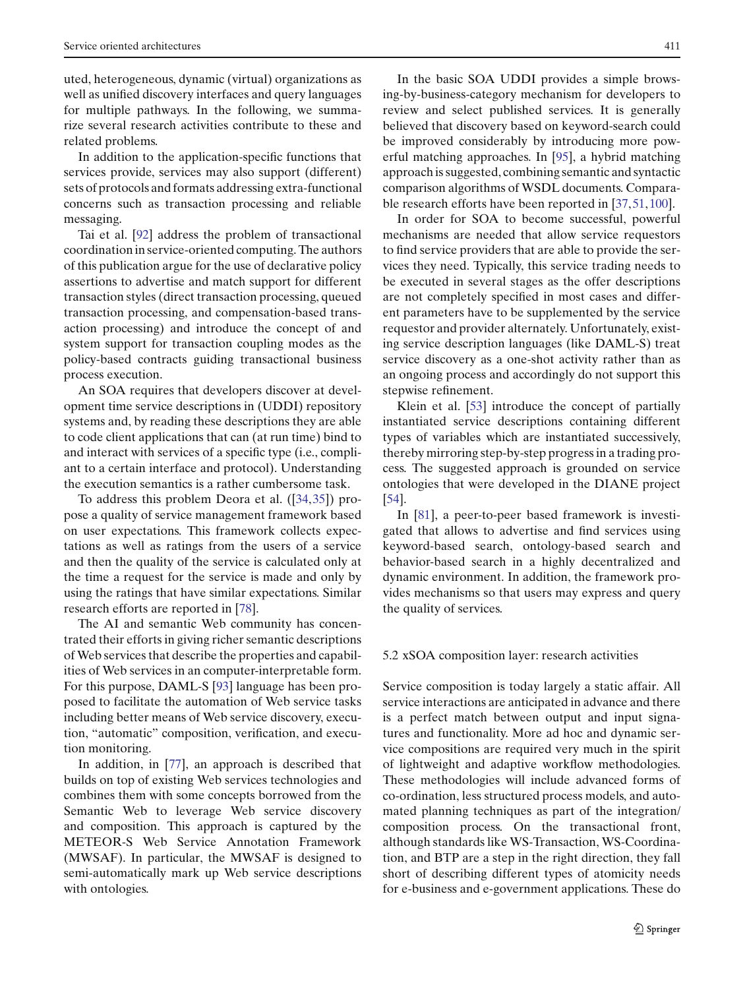uted, heterogeneous, dynamic (virtual) organizations as well as unified discovery interfaces and query languages for multiple pathways. In the following, we summarize several research activities contribute to these and related problems.

In addition to the application-specific functions that services provide, services may also support (different) sets of protocols and formats addressing extra-functional concerns such as transaction processing and reliable messaging.

Tai et al. [\[92](#page-27-33)] address the problem of transactional coordination in service-oriented computing. The authors of this publication argue for the use of declarative policy assertions to advertise and match support for different transaction styles (direct transaction processing, queued transaction processing, and compensation-based transaction processing) and introduce the concept of and system support for transaction coupling modes as the policy-based contracts guiding transactional business process execution.

An SOA requires that developers discover at development time service descriptions in (UDDI) repository systems and, by reading these descriptions they are able to code client applications that can (at run time) bind to and interact with services of a specific type (i.e., compliant to a certain interface and protocol). Understanding the execution semantics is a rather cumbersome task.

To address this problem Deora et al. ([\[34,](#page-26-35)[35](#page-26-36)]) propose a quality of service management framework based on user expectations. This framework collects expectations as well as ratings from the users of a service and then the quality of the service is calculated only at the time a request for the service is made and only by using the ratings that have similar expectations. Similar research efforts are reported in [\[78](#page-27-34)].

The AI and semantic Web community has concentrated their efforts in giving richer semantic descriptions of Web services that describe the properties and capabilities of Web services in an computer-interpretable form. For this purpose, DAML-S [\[93\]](#page-27-35) language has been proposed to facilitate the automation of Web service tasks including better means of Web service discovery, execution, "automatic" composition, verification, and execution monitoring.

In addition, in [\[77](#page-27-36)], an approach is described that builds on top of existing Web services technologies and combines them with some concepts borrowed from the Semantic Web to leverage Web service discovery and composition. This approach is captured by the METEOR-S Web Service Annotation Framework (MWSAF). In particular, the MWSAF is designed to semi-automatically mark up Web service descriptions with ontologies.

In the basic SOA UDDI provides a simple browsing-by-business-category mechanism for developers to review and select published services. It is generally believed that discovery based on keyword-search could be improved considerably by introducing more powerful matching approaches. In [\[95\]](#page-27-19), a hybrid matching approach is suggested, combining semantic and syntactic comparison algorithms of WSDL documents. Comparable research efforts have been reported in [\[37](#page-26-37),[51](#page-26-38)[,100](#page-27-37)].

In order for SOA to become successful, powerful mechanisms are needed that allow service requestors to find service providers that are able to provide the services they need. Typically, this service trading needs to be executed in several stages as the offer descriptions are not completely specified in most cases and different parameters have to be supplemented by the service requestor and provider alternately. Unfortunately, existing service description languages (like DAML-S) treat service discovery as a one-shot activity rather than as an ongoing process and accordingly do not support this stepwise refinement.

Klein et al. [\[53\]](#page-26-39) introduce the concept of partially instantiated service descriptions containing different types of variables which are instantiated successively, thereby mirroring step-by-step progress in a trading process. The suggested approach is grounded on service ontologies that were developed in the DIANE project [\[54](#page-26-40)].

In [\[81](#page-27-38)], a peer-to-peer based framework is investigated that allows to advertise and find services using keyword-based search, ontology-based search and behavior-based search in a highly decentralized and dynamic environment. In addition, the framework provides mechanisms so that users may express and query the quality of services.

#### 5.2 xSOA composition layer: research activities

Service composition is today largely a static affair. All service interactions are anticipated in advance and there is a perfect match between output and input signatures and functionality. More ad hoc and dynamic service compositions are required very much in the spirit of lightweight and adaptive workflow methodologies. These methodologies will include advanced forms of co-ordination, less structured process models, and automated planning techniques as part of the integration/ composition process. On the transactional front, although standards like WS-Transaction, WS-Coordination, and BTP are a step in the right direction, they fall short of describing different types of atomicity needs for e-business and e-government applications. These do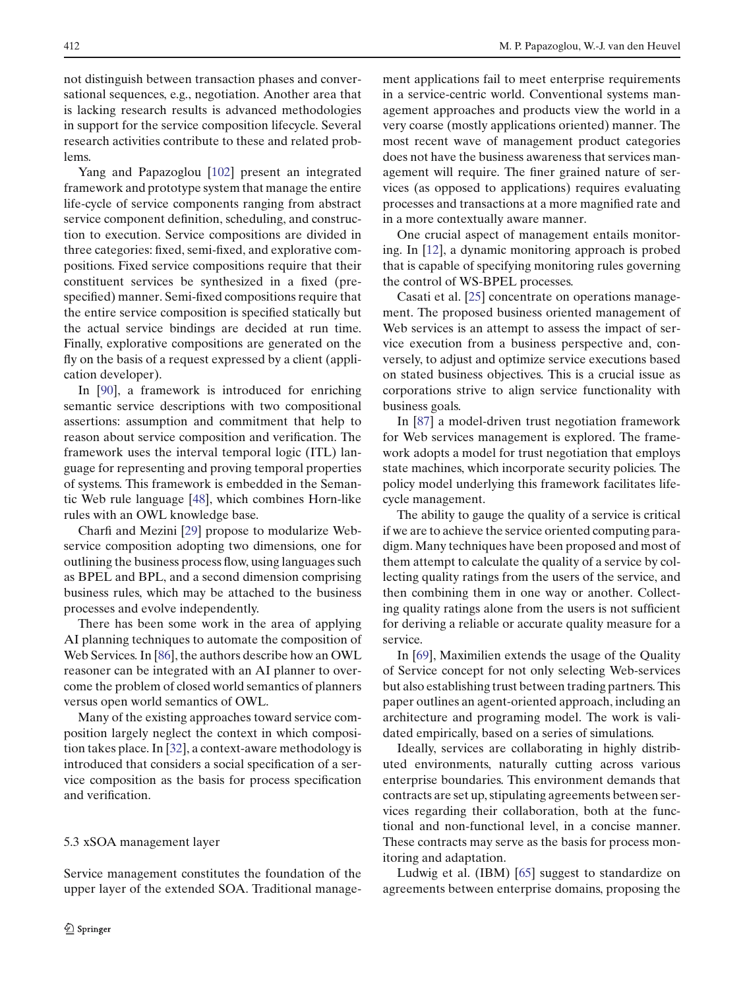not distinguish between transaction phases and conversational sequences, e.g., negotiation. Another area that is lacking research results is advanced methodologies in support for the service composition lifecycle. Several research activities contribute to these and related problems.

Yang and Papazoglou [\[102](#page-27-39)] present an integrated framework and prototype system that manage the entire life-cycle of service components ranging from abstract service component definition, scheduling, and construction to execution. Service compositions are divided in three categories: fixed, semi-fixed, and explorative compositions. Fixed service compositions require that their constituent services be synthesized in a fixed (prespecified) manner. Semi-fixed compositions require that the entire service composition is specified statically but the actual service bindings are decided at run time. Finally, explorative compositions are generated on the fly on the basis of a request expressed by a client (application developer).

In [\[90\]](#page-27-40), a framework is introduced for enriching semantic service descriptions with two compositional assertions: assumption and commitment that help to reason about service composition and verification. The framework uses the interval temporal logic (ITL) language for representing and proving temporal properties of systems. This framework is embedded in the Semantic Web rule language [\[48](#page-26-41)], which combines Horn-like rules with an OWL knowledge base.

Charfi and Mezini [\[29\]](#page-26-42) propose to modularize Webservice composition adopting two dimensions, one for outlining the business process flow, using languages such as BPEL and BPL, and a second dimension comprising business rules, which may be attached to the business processes and evolve independently.

There has been some work in the area of applying AI planning techniques to automate the composition of Web Services. In [\[86](#page-27-41)], the authors describe how an OWL reasoner can be integrated with an AI planner to overcome the problem of closed world semantics of planners versus open world semantics of OWL.

Many of the existing approaches toward service composition largely neglect the context in which composition takes place. In [\[32\]](#page-26-43), a context-aware methodology is introduced that considers a social specification of a service composition as the basis for process specification and verification.

# 5.3 xSOA management layer

Service management constitutes the foundation of the upper layer of the extended SOA. Traditional management applications fail to meet enterprise requirements in a service-centric world. Conventional systems management approaches and products view the world in a very coarse (mostly applications oriented) manner. The most recent wave of management product categories does not have the business awareness that services management will require. The finer grained nature of services (as opposed to applications) requires evaluating processes and transactions at a more magnified rate and in a more contextually aware manner.

One crucial aspect of management entails monitoring. In [\[12](#page-25-13)], a dynamic monitoring approach is probed that is capable of specifying monitoring rules governing the control of WS-BPEL processes.

Casati et al. [\[25\]](#page-26-44) concentrate on operations management. The proposed business oriented management of Web services is an attempt to assess the impact of service execution from a business perspective and, conversely, to adjust and optimize service executions based on stated business objectives. This is a crucial issue as corporations strive to align service functionality with business goals.

In [\[87\]](#page-27-42) a model-driven trust negotiation framework for Web services management is explored. The framework adopts a model for trust negotiation that employs state machines, which incorporate security policies. The policy model underlying this framework facilitates lifecycle management.

The ability to gauge the quality of a service is critical if we are to achieve the service oriented computing paradigm. Many techniques have been proposed and most of them attempt to calculate the quality of a service by collecting quality ratings from the users of the service, and then combining them in one way or another. Collecting quality ratings alone from the users is not sufficient for deriving a reliable or accurate quality measure for a service.

In [\[69\]](#page-27-43), Maximilien extends the usage of the Quality of Service concept for not only selecting Web-services but also establishing trust between trading partners. This paper outlines an agent-oriented approach, including an architecture and programing model. The work is validated empirically, based on a series of simulations.

Ideally, services are collaborating in highly distributed environments, naturally cutting across various enterprise boundaries. This environment demands that contracts are set up, stipulating agreements between services regarding their collaboration, both at the functional and non-functional level, in a concise manner. These contracts may serve as the basis for process monitoring and adaptation.

Ludwig et al. (IBM) [\[65\]](#page-27-44) suggest to standardize on agreements between enterprise domains, proposing the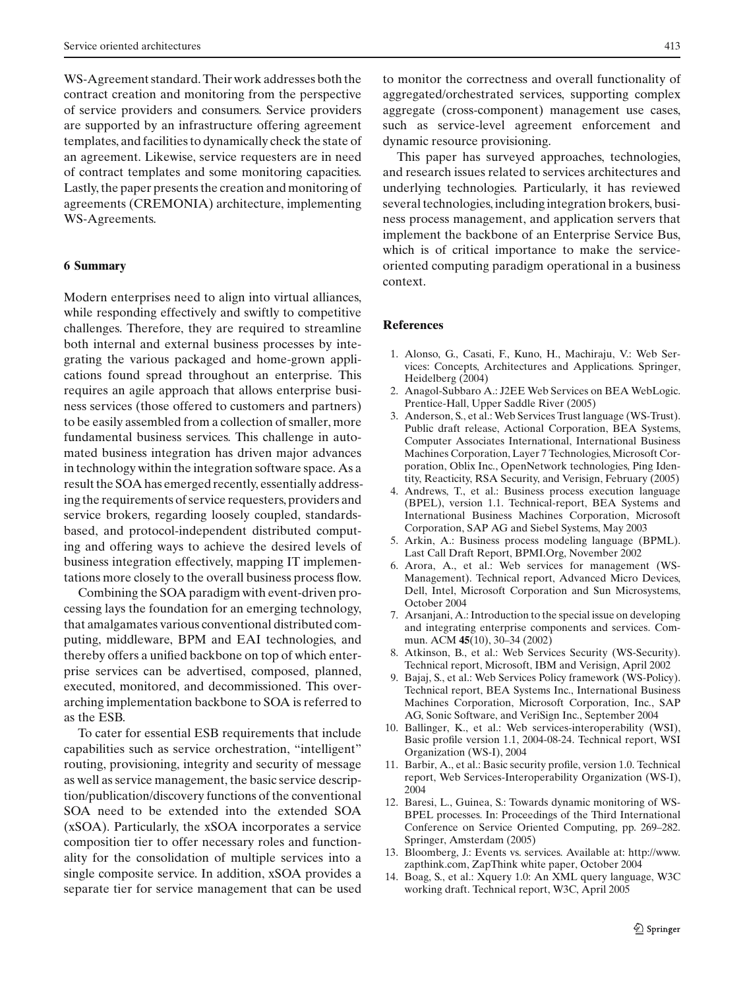WS-Agreement standard. Their work addresses both the contract creation and monitoring from the perspective of service providers and consumers. Service providers are supported by an infrastructure offering agreement templates, and facilities to dynamically check the state of an agreement. Likewise, service requesters are in need of contract templates and some monitoring capacities. Lastly, the paper presents the creation and monitoring of agreements (CREMONIA) architecture, implementing WS-Agreements.

## **6 Summary**

Modern enterprises need to align into virtual alliances, while responding effectively and swiftly to competitive challenges. Therefore, they are required to streamline both internal and external business processes by integrating the various packaged and home-grown applications found spread throughout an enterprise. This requires an agile approach that allows enterprise business services (those offered to customers and partners) to be easily assembled from a collection of smaller, more fundamental business services. This challenge in automated business integration has driven major advances in technology within the integration software space. As a result the SOA has emerged recently, essentially addressing the requirements of service requesters, providers and service brokers, regarding loosely coupled, standardsbased, and protocol-independent distributed computing and offering ways to achieve the desired levels of business integration effectively, mapping IT implementations more closely to the overall business process flow.

Combining the SOA paradigm with event-driven processing lays the foundation for an emerging technology, that amalgamates various conventional distributed computing, middleware, BPM and EAI technologies, and thereby offers a unified backbone on top of which enterprise services can be advertised, composed, planned, executed, monitored, and decommissioned. This overarching implementation backbone to SOA is referred to as the ESB.

To cater for essential ESB requirements that include capabilities such as service orchestration, "intelligent" routing, provisioning, integrity and security of message as well as service management, the basic service description/publication/discovery functions of the conventional SOA need to be extended into the extended SOA (xSOA). Particularly, the xSOA incorporates a service composition tier to offer necessary roles and functionality for the consolidation of multiple services into a single composite service. In addition, xSOA provides a separate tier for service management that can be used to monitor the correctness and overall functionality of aggregated/orchestrated services, supporting complex aggregate (cross-component) management use cases, such as service-level agreement enforcement and dynamic resource provisioning.

This paper has surveyed approaches, technologies, and research issues related to services architectures and underlying technologies. Particularly, it has reviewed several technologies, including integration brokers, business process management, and application servers that implement the backbone of an Enterprise Service Bus, which is of critical importance to make the serviceoriented computing paradigm operational in a business context.

### <span id="page-25-0"></span>**References**

- 1. Alonso, G., Casati, F., Kuno, H., Machiraju, V.: Web Services: Concepts, Architectures and Applications. Springer, Heidelberg (2004)
- <span id="page-25-2"></span>2. Anagol-Subbaro A.: J2EE Web Services on BEA WebLogic. Prentice-Hall, Upper Saddle River (2005)
- <span id="page-25-5"></span>3. Anderson, S., et al.: Web Services Trust language (WS-Trust). Public draft release, Actional Corporation, BEA Systems, Computer Associates International, International Business Machines Corporation, Layer 7 Technologies, Microsoft Corporation, Oblix Inc., OpenNetwork technologies, Ping Identity, Reacticity, RSA Security, and Verisign, February (2005)
- <span id="page-25-3"></span>4. Andrews, T., et al.: Business process execution language (BPEL), version 1.1. Technical-report, BEA Systems and International Business Machines Corporation, Microsoft Corporation, SAP AG and Siebel Systems, May 2003
- <span id="page-25-4"></span>5. Arkin, A.: Business process modeling language (BPML). Last Call Draft Report, BPMI.Org, November 2002
- <span id="page-25-10"></span>6. Arora, A., et al.: Web services for management (WS-Management). Technical report, Advanced Micro Devices, Dell, Intel, Microsoft Corporation and Sun Microsystems, October 2004
- <span id="page-25-1"></span>7. Arsanjani, A.: Introduction to the special issue on developing and integrating enterprise components and services. Commun. ACM **45**(10), 30–34 (2002)
- <span id="page-25-9"></span>8. Atkinson, B., et al.: Web Services Security (WS-Security). Technical report, Microsoft, IBM and Verisign, April 2002
- <span id="page-25-8"></span>9. Bajaj, S., et al.: Web Services Policy framework (WS-Policy). Technical report, BEA Systems Inc., International Business Machines Corporation, Microsoft Corporation, Inc., SAP AG, Sonic Software, and VeriSign Inc., September 2004
- <span id="page-25-11"></span>10. Ballinger, K., et al.: Web services-interoperability (WSI), Basic profile version 1.1, 2004-08-24. Technical report, WSI Organization (WS-I), 2004
- <span id="page-25-12"></span>11. Barbir, A., et al.: Basic security profile, version 1.0. Technical report, Web Services-Interoperability Organization (WS-I), 2004
- <span id="page-25-13"></span>12. Baresi, L., Guinea, S.: Towards dynamic monitoring of WS-BPEL processes. In: Proceedings of the Third International Conference on Service Oriented Computing, pp. 269–282. Springer, Amsterdam (2005)
- <span id="page-25-7"></span>13. Bloomberg, J.: Events vs. services. Available at: http://www. zapthink.com, ZapThink white paper, October 2004
- <span id="page-25-6"></span>14. Boag, S., et al.: Xquery 1.0: An XML query language, W3C working draft. Technical report, W3C, April 2005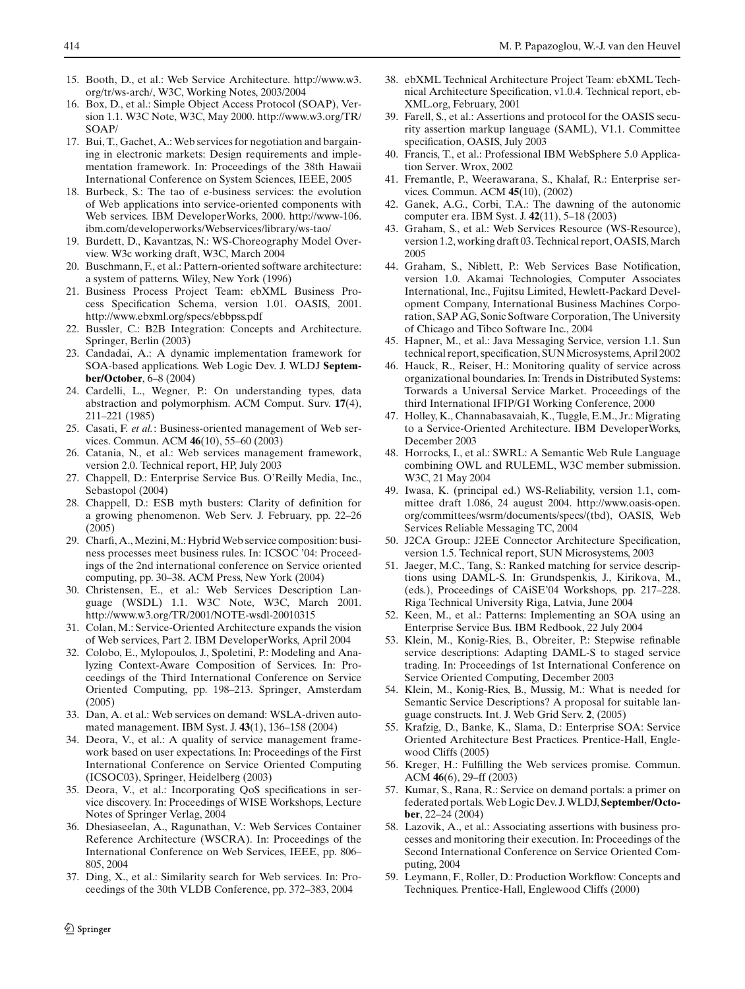- <span id="page-26-0"></span>15. Booth, D., et al.: Web Service Architecture. http://www.w3. org/tr/ws-arch/, W3C, Working Notes, 2003/2004
- <span id="page-26-7"></span>16. Box, D., et al.: Simple Object Access Protocol (SOAP), Version 1.1. W3C Note, W3C, May 2000. http://www.w3.org/TR/ SOAP/
- <span id="page-26-34"></span>17. Bui, T., Gachet, A.: Web services for negotiation and bargaining in electronic markets: Design requirements and implementation framework. In: Proceedings of the 38th Hawaii International Conference on System Sciences, IEEE, 2005
- <span id="page-26-1"></span>18. Burbeck, S.: The tao of e-business services: the evolution of Web applications into service-oriented components with Web services. IBM DeveloperWorks, 2000. http://www-106. ibm.com/developerworks/Webservices/library/ws-tao/
- <span id="page-26-29"></span>19. Burdett, D., Kavantzas, N.: WS-Choreography Model Overview. W3c working draft, W3C, March 2004
- <span id="page-26-22"></span>20. Buschmann, F., et al.: Pattern-oriented software architecture: a system of patterns. Wiley, New York (1996)
- <span id="page-26-26"></span>21. Business Process Project Team: ebXML Business Process Specification Schema, version 1.01. OASIS, 2001. http://www.ebxml.org/specs/ebbpss.pdf
- <span id="page-26-20"></span>22. Bussler, C.: B2B Integration: Concepts and Architecture. Springer, Berlin (2003)
- <span id="page-26-17"></span>23. Candadai, A.: A dynamic implementation framework for SOA-based applications. Web Logic Dev. J. WLDJ **September/October**, 6–8 (2004)
- <span id="page-26-28"></span>24. Cardelli, L., Wegner, P.: On understanding types, data abstraction and polymorphism. ACM Comput. Surv. **17**(4), 211–221 (1985)
- <span id="page-26-44"></span>25. Casati, F. *et al.*: Business-oriented management of Web services. Commun. ACM **46**(10), 55–60 (2003)
- <span id="page-26-31"></span>26. Catania, N., et al.: Web services management framework, version 2.0. Technical report, HP, July 2003
- <span id="page-26-9"></span>27. Chappell, D.: Enterprise Service Bus. O'Reilly Media, Inc., Sebastopol (2004)
- <span id="page-26-13"></span>28. Chappell, D.: ESB myth busters: Clarity of definition for a growing phenomenon. Web Serv. J. February, pp. 22–26 (2005)
- <span id="page-26-42"></span>29. Charfi, A., Mezini, M.: Hybrid Web service composition: business processes meet business rules. In: ICSOC '04: Proceedings of the 2nd international conference on Service oriented computing, pp. 30–38. ACM Press, New York (2004)
- <span id="page-26-3"></span>30. Christensen, E., et al.: Web Services Description Language (WSDL) 1.1. W3C Note, W3C, March 2001. http://www.w3.org/TR/2001/NOTE-wsdl-20010315
- <span id="page-26-11"></span>31. Colan, M.: Service-Oriented Architecture expands the vision of Web services, Part 2. IBM DeveloperWorks, April 2004
- <span id="page-26-43"></span>32. Colobo, E., Mylopoulos, J., Spoletini, P.: Modeling and Analyzing Context-Aware Composition of Services. In: Proceedings of the Third International Conference on Service Oriented Computing, pp. 198–213. Springer, Amsterdam (2005)
- <span id="page-26-16"></span>33. Dan, A. et al.: Web services on demand: WSLA-driven automated management. IBM Syst. J. **43**(1), 136–158 (2004)
- <span id="page-26-35"></span>34. Deora, V., et al.: A quality of service management framework based on user expectations. In: Proceedings of the First International Conference on Service Oriented Computing (ICSOC03), Springer, Heidelberg (2003)
- <span id="page-26-36"></span>35. Deora, V., et al.: Incorporating QoS specifications in service discovery. In: Proceedings of WISE Workshops, Lecture Notes of Springer Verlag, 2004
- <span id="page-26-8"></span>36. Dhesiaseelan, A., Ragunathan, V.: Web Services Container Reference Architecture (WSCRA). In: Proceedings of the International Conference on Web Services, IEEE, pp. 806– 805, 2004
- <span id="page-26-37"></span>37. Ding, X., et al.: Similarity search for Web services. In: Proceedings of the 30th VLDB Conference, pp. 372–383, 2004
- <span id="page-26-27"></span>38. ebXML Technical Architecture Project Team: ebXML Technical Architecture Specification, v1.0.4. Technical report, eb-XML.org, February, 2001
- <span id="page-26-10"></span>39. Farell, S., et al.: Assertions and protocol for the OASIS security assertion markup language (SAML), V1.1. Committee specification, OASIS, July 2003
- <span id="page-26-21"></span>40. Francis, T., et al.: Professional IBM WebSphere 5.0 Application Server. Wrox, 2002
- <span id="page-26-2"></span>41. Fremantle, P., Weerawarana, S., Khalaf, R.: Enterprise services. Commun. ACM **45**(10), (2002)
- <span id="page-26-33"></span>42. Ganek, A.G., Corbi, T.A.: The dawning of the autonomic computer era. IBM Syst. J. **42**(11), 5–18 (2003)
- <span id="page-26-18"></span>43. Graham, S., et al.: Web Services Resource (WS-Resource), version 1.2, working draft 03. Technical report, OASIS, March 2005
- <span id="page-26-15"></span>44. Graham, S., Niblett, P.: Web Services Base Notification, version 1.0. Akamai Technologies, Computer Associates International, Inc., Fujitsu Limited, Hewlett-Packard Development Company, International Business Machines Corporation, SAP AG, Sonic Software Corporation, The University of Chicago and Tibco Software Inc., 2004
- <span id="page-26-23"></span>45. Hapner, M., et al.: Java Messaging Service, version 1.1. Sun technical report, specification, SUN Microsystems, April 2002
- <span id="page-26-32"></span>46. Hauck, R., Reiser, H.: Monitoring quality of service across organizational boundaries. In: Trends in Distributed Systems: Torwards a Universal Service Market. Proceedings of the third International IFIP/GI Working Conference, 2000
- <span id="page-26-4"></span>47. Holley, K., Channabasavaiah, K., Tuggle, E.M., Jr.: Migrating to a Service-Oriented Architecture. IBM DeveloperWorks, December 2003
- <span id="page-26-41"></span>48. Horrocks, I., et al.: SWRL: A Semantic Web Rule Language combining OWL and RULEML, W3C member submission. W3C, 21 May 2004
- <span id="page-26-14"></span>49. Iwasa, K. (principal ed.) WS-Reliability, version 1.1, committee draft 1.086, 24 august 2004. http://www.oasis-open. org/committees/wsrm/documents/specs/(tbd), OASIS, Web Services Reliable Messaging TC, 2004
- <span id="page-26-24"></span>50. J2CA Group.: J2EE Connector Architecture Specification, version 1.5. Technical report, SUN Microsystems, 2003
- <span id="page-26-38"></span>51. Jaeger, M.C., Tang, S.: Ranked matching for service descriptions using DAML-S. In: Grundspenkis, J., Kirikova, M., (eds.), Proceedings of CAiSE'04 Workshops, pp. 217–228. Riga Technical University Riga, Latvia, June 2004
- <span id="page-26-12"></span>52. Keen, M., et al.: Patterns: Implementing an SOA using an Enterprise Service Bus. IBM Redbook, 22 July 2004
- <span id="page-26-39"></span>53. Klein, M., Konig-Ries, B., Obreiter, P.: Stepwise refinable service descriptions: Adapting DAML-S to staged service trading. In: Proceedings of 1st International Conference on Service Oriented Computing, December 2003
- <span id="page-26-40"></span>54. Klein, M., Konig-Ries, B., Mussig, M.: What is needed for Semantic Service Descriptions? A proposal for suitable language constructs. Int. J. Web Grid Serv. **2**, (2005)
- <span id="page-26-6"></span>55. Krafzig, D., Banke, K., Slama, D.: Enterprise SOA: Service Oriented Architecture Best Practices. Prentice-Hall, Englewood Cliffs (2005)
- <span id="page-26-5"></span>56. Kreger, H.: Fulfilling the Web services promise. Commun. ACM **46**(6), 29–ff (2003)
- <span id="page-26-19"></span>57. Kumar, S., Rana, R.: Service on demand portals: a primer on federated portals.Web Logic Dev. J.WLDJ, **September/October**, 22–24 (2004)
- <span id="page-26-30"></span>58. Lazovik, A., et al.: Associating assertions with business processes and monitoring their execution. In: Proceedings of the Second International Conference on Service Oriented Computing, 2004
- <span id="page-26-25"></span>59. Leymann, F., Roller, D.: Production Workflow: Concepts and Techniques. Prentice-Hall, Englewood Cliffs (2000)